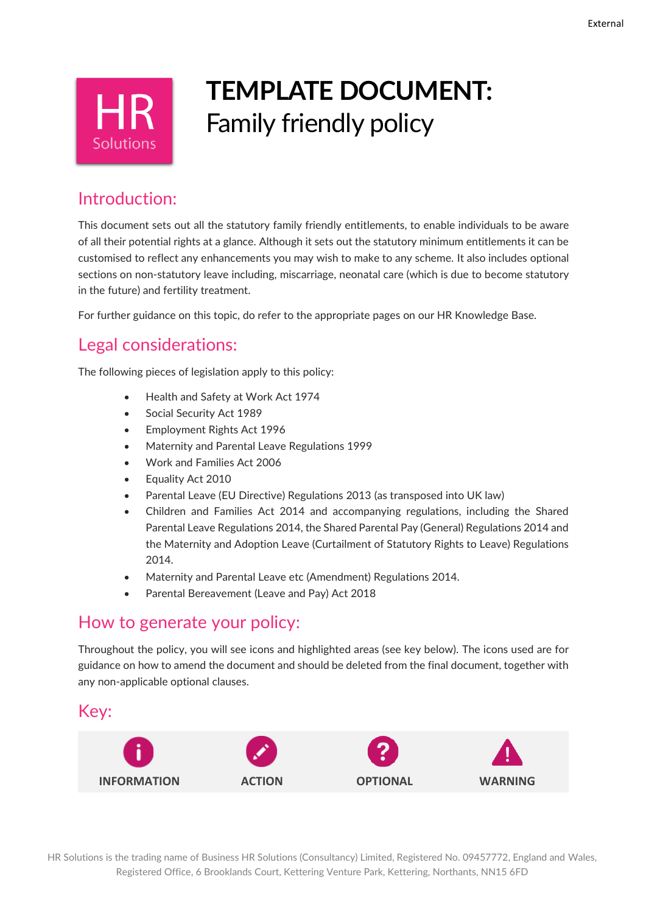

# **TEMPLATE DOCUMENT:** Family friendly policy

## Introduction:

This document sets out all the statutory family friendly entitlements, to enable individuals to be aware of all their potential rights at a glance. Although it sets out the statutory minimum entitlements it can be customised to reflect any enhancements you may wish to make to any scheme. It also includes optional sections on non-statutory leave including, miscarriage, neonatal care (which is due to become statutory in the future) and fertility treatment.

For further guidance on this topic, do refer to the appropriate pages on our HR Knowledge Base.

## Legal considerations:

The following pieces of legislation apply to this policy:

- Health and Safety at Work Act 1974
- Social Security Act 1989
- Employment Rights Act 1996
- Maternity and Parental Leave Regulations 1999
- Work and Families Act 2006
- Equality Act 2010
- Parental Leave (EU Directive) Regulations 2013 (as transposed into UK law)
- Children and Families Act 2014 and accompanying regulations, including the Shared Parental Leave Regulations 2014, the Shared Parental Pay (General) Regulations 2014 and the Maternity and Adoption Leave (Curtailment of Statutory Rights to Leave) Regulations 2014.
- Maternity and Parental Leave etc (Amendment) Regulations 2014.
- Parental Bereavement (Leave and Pay) Act 2018

## How to generate your policy:

Throughout the policy, you will see icons and highlighted areas (see key below). The icons used are for guidance on how to amend the document and should be deleted from the final document, together with any non-applicable optional clauses.

## Key:

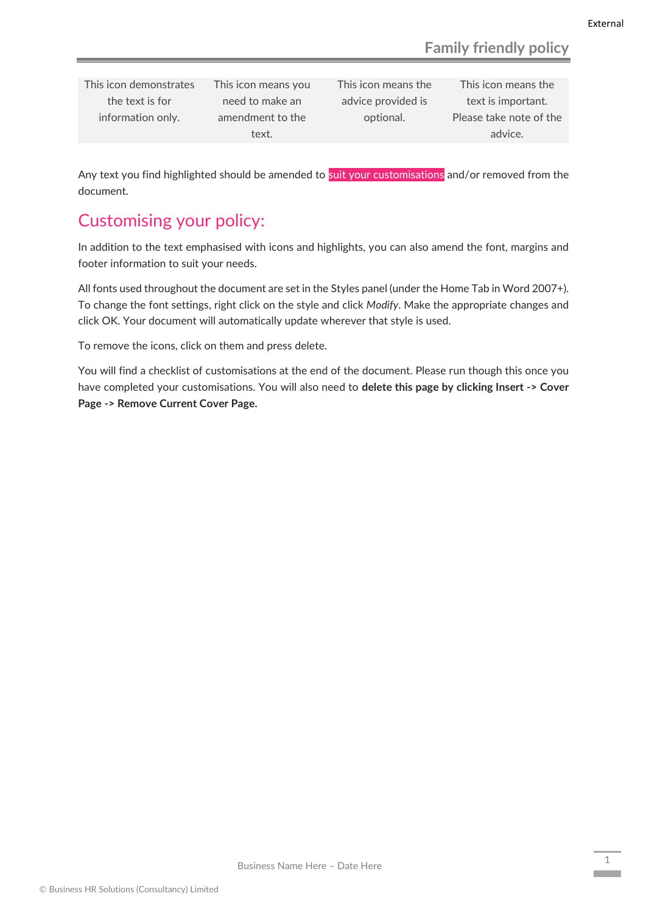This icon demonstrates the text is for information only.

This icon means you need to make an amendment to the text.

This icon means the advice provided is optional.

This icon means the text is important. Please take note of the advice.

Any text you find highlighted should be amended to suit your customisations and/or removed from the document.

## Customising your policy:

In addition to the text emphasised with icons and highlights, you can also amend the font, margins and footer information to suit your needs.

All fonts used throughout the document are set in the Styles panel (under the Home Tab in Word 2007+). To change the font settings, right click on the style and click *Modify*. Make the appropriate changes and click OK. Your document will automatically update wherever that style is used.

To remove the icons, click on them and press delete.

You will find a checklist of customisations at the end of the document. Please run though this once you have completed your customisations. You will also need to **delete this page by clicking Insert -> Cover Page -> Remove Current Cover Page.**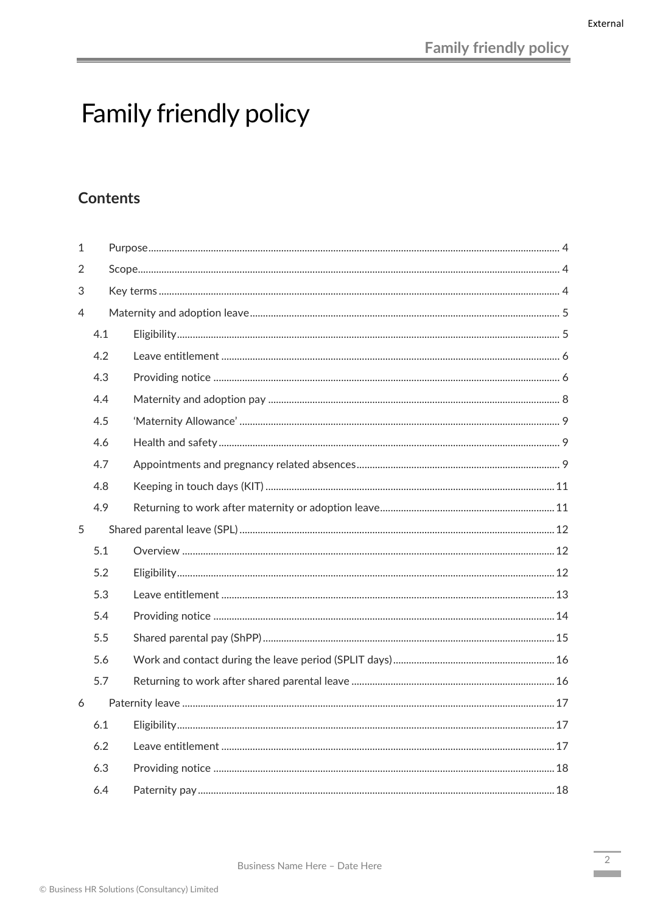# Family friendly policy

## **Contents**

| 1 |     |  |  |
|---|-----|--|--|
| 2 |     |  |  |
| 3 |     |  |  |
| 4 |     |  |  |
|   | 4.1 |  |  |
|   | 4.2 |  |  |
|   | 4.3 |  |  |
|   | 4.4 |  |  |
|   | 4.5 |  |  |
|   | 4.6 |  |  |
|   | 4.7 |  |  |
|   | 4.8 |  |  |
|   | 4.9 |  |  |
| 5 |     |  |  |
|   |     |  |  |
|   | 5.1 |  |  |
|   | 5.2 |  |  |
|   | 5.3 |  |  |
|   | 5.4 |  |  |
|   | 5.5 |  |  |
|   | 5.6 |  |  |
|   | 5.7 |  |  |
| 6 |     |  |  |
|   | 6.1 |  |  |
|   | 6.2 |  |  |
|   | 6.3 |  |  |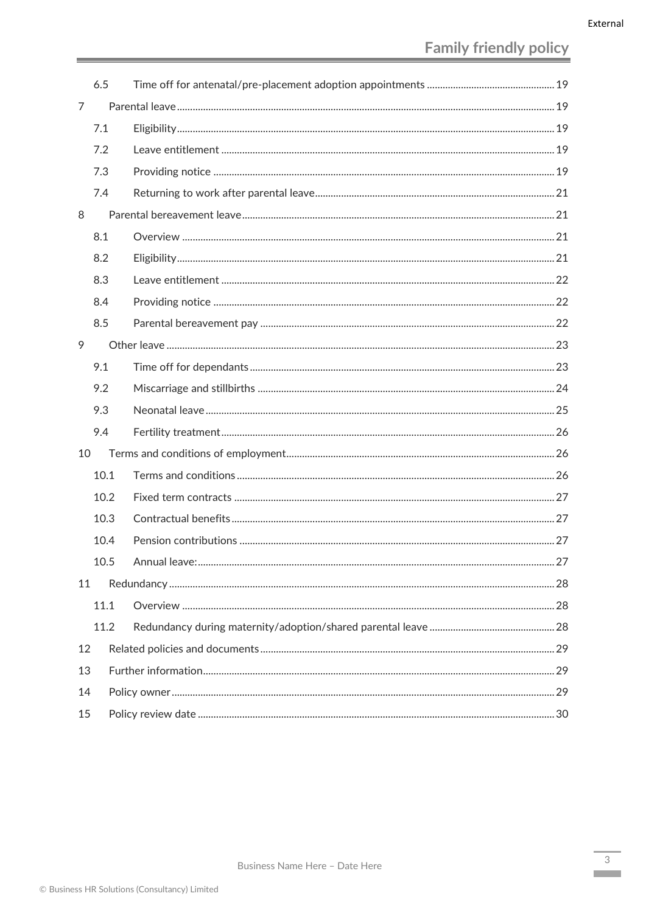|    | 6.5  |               |    |  |
|----|------|---------------|----|--|
| 7  |      |               |    |  |
|    | 7.1  |               |    |  |
|    | 7.2  |               |    |  |
|    | 7.3  |               |    |  |
|    | 7.4  |               |    |  |
| 8  |      |               |    |  |
|    | 8.1  |               |    |  |
|    | 8.2  |               |    |  |
|    | 8.3  |               |    |  |
|    | 8.4  |               |    |  |
|    | 8.5  |               |    |  |
| 9  |      |               |    |  |
|    | 9.1  |               |    |  |
|    | 9.2  |               |    |  |
|    | 9.3  |               |    |  |
|    | 9.4  |               |    |  |
| 10 |      |               |    |  |
|    | 10.1 |               |    |  |
|    | 10.2 |               |    |  |
|    | 10.3 |               |    |  |
|    | 10.4 |               |    |  |
|    | 105  | Annual leave: | 27 |  |
| 11 |      |               |    |  |
|    | 11.1 |               |    |  |
|    | 11.2 |               |    |  |
| 12 |      |               |    |  |
| 13 |      |               |    |  |
|    | 14   |               |    |  |
| 15 |      |               |    |  |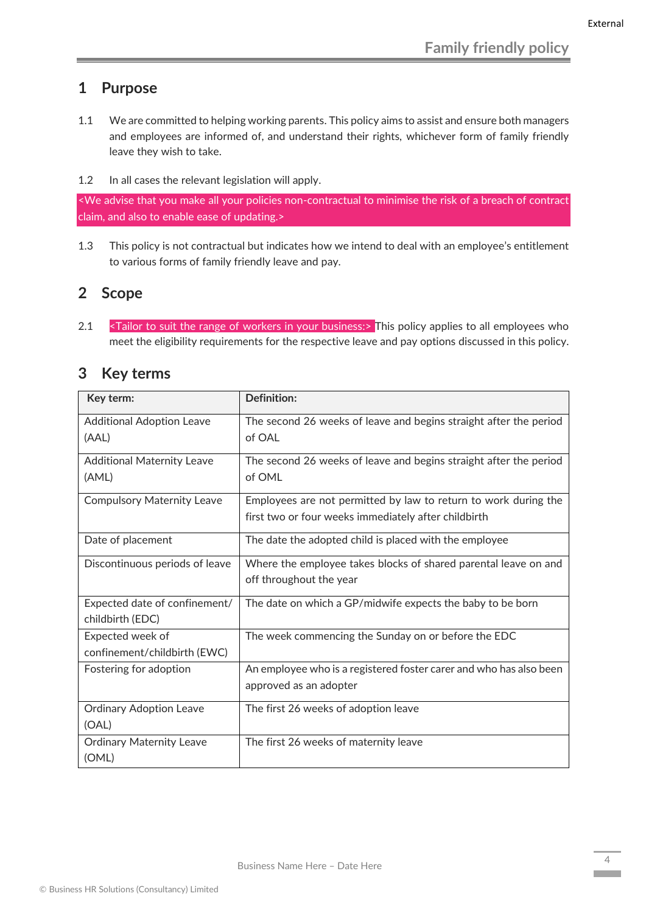## <span id="page-4-0"></span>**1 Purpose**

- 1.1 We are committed to helping working parents. This policy aims to assist and ensure both managers and employees are informed of, and understand their rights, whichever form of family friendly leave they wish to take.
- 1.2 In all cases the relevant legislation will apply.

<We advise that you make all your policies non-contractual to minimise the risk of a breach of contract claim, and also to enable ease of updating.>

1.3 This policy is not contractual but indicates how we intend to deal with an employee's entitlement to various forms of family friendly leave and pay.

### <span id="page-4-1"></span>**2 Scope**

2.1  $\le$ Tailor to suit the range of workers in your business:> This policy applies to all employees who meet the eligibility requirements for the respective leave and pay options discussed in this policy.

<span id="page-4-2"></span>

| 3 | <b>Key terms</b> |
|---|------------------|
|---|------------------|

| Key term:                         | <b>Definition:</b>                                                 |
|-----------------------------------|--------------------------------------------------------------------|
| <b>Additional Adoption Leave</b>  | The second 26 weeks of leave and begins straight after the period  |
| (AAL)                             | of OAL                                                             |
| <b>Additional Maternity Leave</b> | The second 26 weeks of leave and begins straight after the period  |
| (AML)                             | of OML                                                             |
| <b>Compulsory Maternity Leave</b> | Employees are not permitted by law to return to work during the    |
|                                   | first two or four weeks immediately after childbirth               |
| Date of placement                 | The date the adopted child is placed with the employee             |
| Discontinuous periods of leave    | Where the employee takes blocks of shared parental leave on and    |
|                                   | off throughout the year                                            |
| Expected date of confinement/     | The date on which a GP/midwife expects the baby to be born         |
| childbirth (EDC)                  |                                                                    |
| Expected week of                  | The week commencing the Sunday on or before the EDC                |
| confinement/childbirth (EWC)      |                                                                    |
| Fostering for adoption            | An employee who is a registered foster carer and who has also been |
|                                   | approved as an adopter                                             |
| <b>Ordinary Adoption Leave</b>    | The first 26 weeks of adoption leave                               |
| (OAL)                             |                                                                    |
| <b>Ordinary Maternity Leave</b>   | The first 26 weeks of maternity leave                              |
| (OML)                             |                                                                    |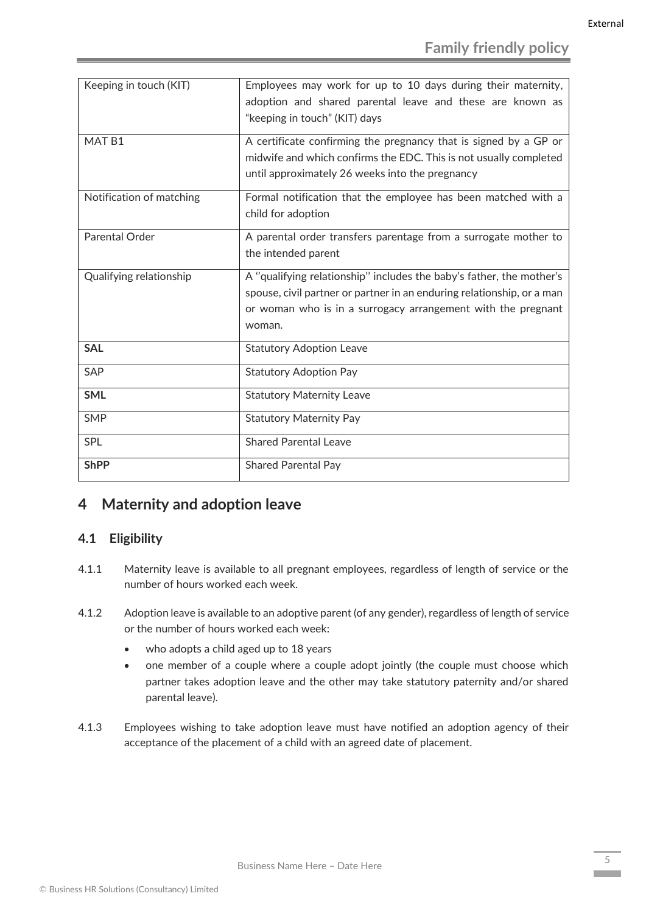| Keeping in touch (KIT)   | Employees may work for up to 10 days during their maternity,<br>adoption and shared parental leave and these are known as<br>"keeping in touch" (KIT) days                                                               |
|--------------------------|--------------------------------------------------------------------------------------------------------------------------------------------------------------------------------------------------------------------------|
| MAT <sub>B1</sub>        | A certificate confirming the pregnancy that is signed by a GP or<br>midwife and which confirms the EDC. This is not usually completed<br>until approximately 26 weeks into the pregnancy                                 |
| Notification of matching | Formal notification that the employee has been matched with a<br>child for adoption                                                                                                                                      |
| Parental Order           | A parental order transfers parentage from a surrogate mother to<br>the intended parent                                                                                                                                   |
| Qualifying relationship  | A "qualifying relationship" includes the baby's father, the mother's<br>spouse, civil partner or partner in an enduring relationship, or a man<br>or woman who is in a surrogacy arrangement with the pregnant<br>woman. |
| <b>SAL</b>               | <b>Statutory Adoption Leave</b>                                                                                                                                                                                          |
| SAP                      | <b>Statutory Adoption Pay</b>                                                                                                                                                                                            |
| <b>SML</b>               | <b>Statutory Maternity Leave</b>                                                                                                                                                                                         |
| <b>SMP</b>               | <b>Statutory Maternity Pay</b>                                                                                                                                                                                           |
| SPL                      | <b>Shared Parental Leave</b>                                                                                                                                                                                             |
| <b>ShPP</b>              | <b>Shared Parental Pay</b>                                                                                                                                                                                               |

## <span id="page-5-0"></span>**4 Maternity and adoption leave**

## <span id="page-5-1"></span>**4.1 Eligibility**

- 4.1.1 Maternity leave is available to all pregnant employees, regardless of length of service or the number of hours worked each week.
- 4.1.2 Adoption leave is available to an adoptive parent (of any gender), regardless of length of service or the number of hours worked each week:
	- who adopts a child aged up to 18 years
	- one member of a couple where a couple adopt jointly (the couple must choose which partner takes adoption leave and the other may take statutory paternity and/or shared parental leave).
- 4.1.3 Employees wishing to take adoption leave must have notified an adoption agency of their acceptance of the placement of a child with an agreed date of placement.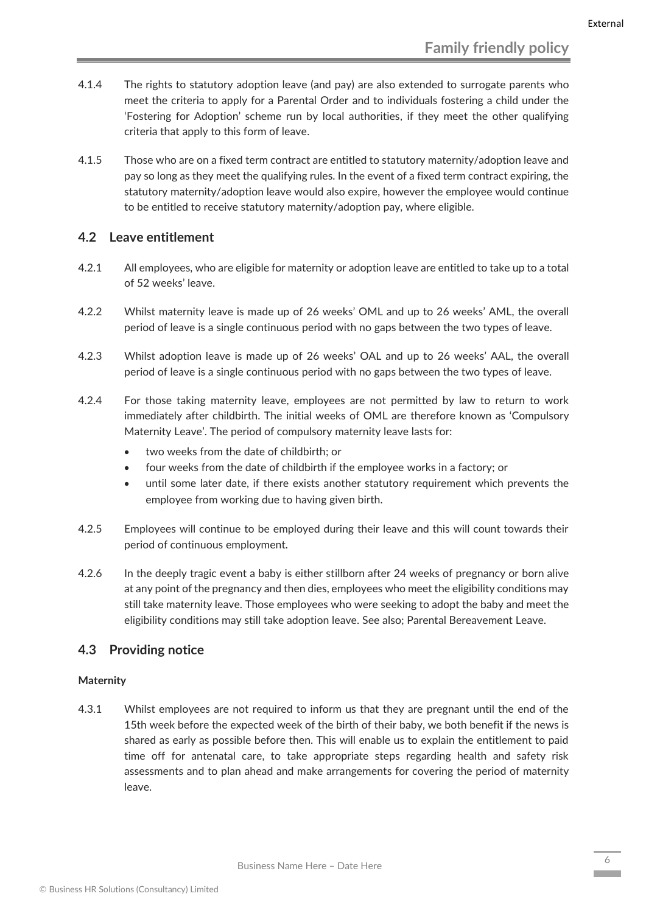- 4.1.4 The rights to statutory adoption leave (and pay) are also extended to surrogate parents who meet the criteria to apply for a Parental Order and to individuals fostering a child under the 'Fostering for Adoption' scheme run by local authorities, if they meet the other qualifying criteria that apply to this form of leave.
- 4.1.5 Those who are on a fixed term contract are entitled to statutory maternity/adoption leave and pay so long as they meet the qualifying rules. In the event of a fixed term contract expiring, the statutory maternity/adoption leave would also expire, however the employee would continue to be entitled to receive statutory maternity/adoption pay, where eligible.

#### <span id="page-6-0"></span>**4.2 Leave entitlement**

- 4.2.1 All employees, who are eligible for maternity or adoption leave are entitled to take up to a total of 52 weeks' leave.
- 4.2.2 Whilst maternity leave is made up of 26 weeks' OML and up to 26 weeks' AML, the overall period of leave is a single continuous period with no gaps between the two types of leave.
- 4.2.3 Whilst adoption leave is made up of 26 weeks' OAL and up to 26 weeks' AAL, the overall period of leave is a single continuous period with no gaps between the two types of leave.
- 4.2.4 For those taking maternity leave, employees are not permitted by law to return to work immediately after childbirth. The initial weeks of OML are therefore known as 'Compulsory Maternity Leave'. The period of compulsory maternity leave lasts for:
	- two weeks from the date of childbirth; or
	- four weeks from the date of childbirth if the employee works in a factory; or
	- until some later date, if there exists another statutory requirement which prevents the employee from working due to having given birth.
- 4.2.5 Employees will continue to be employed during their leave and this will count towards their period of continuous employment.
- 4.2.6 In the deeply tragic event a baby is either stillborn after 24 weeks of pregnancy or born alive at any point of the pregnancy and then dies, employees who meet the eligibility conditions may still take maternity leave. Those employees who were seeking to adopt the baby and meet the eligibility conditions may still take adoption leave. See also; Parental Bereavement Leave.

#### <span id="page-6-1"></span>**4.3 Providing notice**

#### **Maternity**

4.3.1 Whilst employees are not required to inform us that they are pregnant until the end of the 15th week before the expected week of the birth of their baby, we both benefit if the news is shared as early as possible before then. This will enable us to explain the entitlement to paid time off for antenatal care, to take appropriate steps regarding health and safety risk assessments and to plan ahead and make arrangements for covering the period of maternity leave.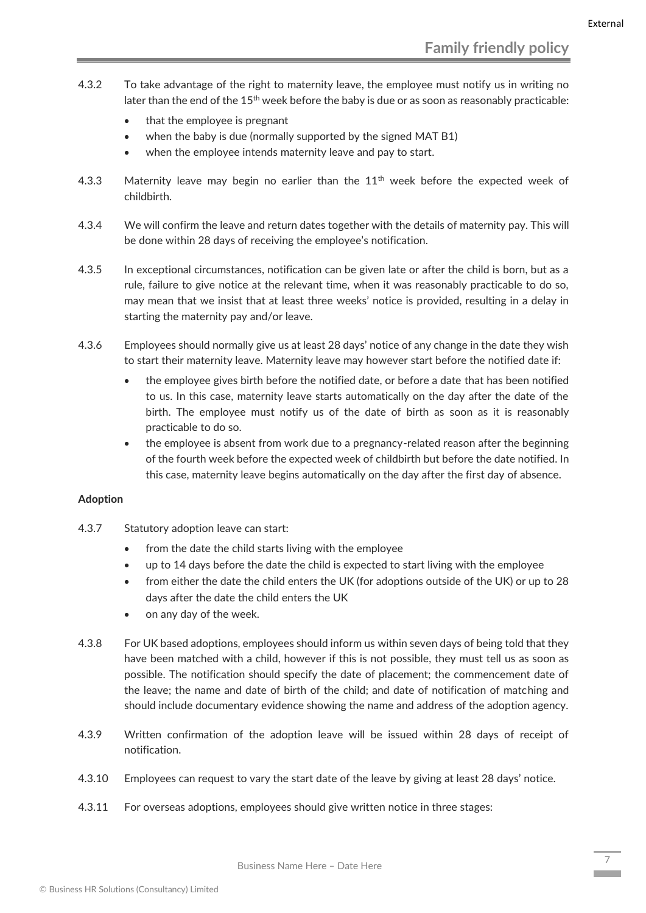- 4.3.2 To take advantage of the right to maternity leave, the employee must notify us in writing no later than the end of the 15<sup>th</sup> week before the baby is due or as soon as reasonably practicable:
	- that the employee is pregnant
	- when the baby is due (normally supported by the signed MAT B1)
	- when the employee intends maternity leave and pay to start.
- 4.3.3 Maternity leave may begin no earlier than the  $11<sup>th</sup>$  week before the expected week of childbirth.
- 4.3.4 We will confirm the leave and return dates together with the details of maternity pay. This will be done within 28 days of receiving the employee's notification.
- 4.3.5 In exceptional circumstances, notification can be given late or after the child is born, but as a rule, failure to give notice at the relevant time, when it was reasonably practicable to do so, may mean that we insist that at least three weeks' notice is provided, resulting in a delay in starting the maternity pay and/or leave.
- 4.3.6 Employees should normally give us at least 28 days' notice of any change in the date they wish to start their maternity leave. Maternity leave may however start before the notified date if:
	- the employee gives birth before the notified date, or before a date that has been notified to us. In this case, maternity leave starts automatically on the day after the date of the birth. The employee must notify us of the date of birth as soon as it is reasonably practicable to do so.
	- the employee is absent from work due to a pregnancy-related reason after the beginning of the fourth week before the expected week of childbirth but before the date notified. In this case, maternity leave begins automatically on the day after the first day of absence.

#### **Adoption**

- 4.3.7 Statutory adoption leave can start:
	- from the date the child starts living with the employee
	- up to 14 days before the date the child is expected to start living with the employee
	- from either the date the child enters the UK (for adoptions outside of the UK) or up to 28 days after the date the child enters the UK
	- on any day of the week.
- 4.3.8 For UK based adoptions, employees should inform us within seven days of being told that they have been matched with a child, however if this is not possible, they must tell us as soon as possible. The notification should specify the date of placement; the commencement date of the leave; the name and date of birth of the child; and date of notification of matching and should include documentary evidence showing the name and address of the adoption agency.
- 4.3.9 Written confirmation of the adoption leave will be issued within 28 days of receipt of notification.
- 4.3.10 Employees can request to vary the start date of the leave by giving at least 28 days' notice.
- 4.3.11 For overseas adoptions, employees should give written notice in three stages: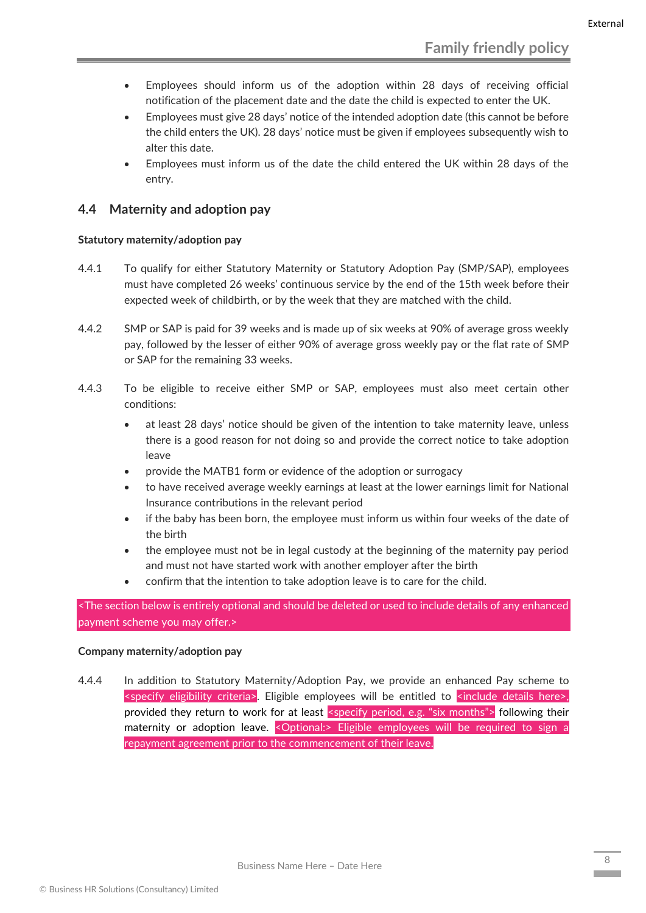- Employees should inform us of the adoption within 28 days of receiving official notification of the placement date and the date the child is expected to enter the UK.
- Employees must give 28 days' notice of the intended adoption date (this cannot be before the child enters the UK). 28 days' notice must be given if employees subsequently wish to alter this date.
- Employees must inform us of the date the child entered the UK within 28 days of the entry.

#### <span id="page-8-0"></span>**4.4 Maternity and adoption pay**

#### **Statutory maternity/adoption pay**

- 4.4.1 To qualify for either Statutory Maternity or Statutory Adoption Pay (SMP/SAP), employees must have completed 26 weeks' continuous service by the end of the 15th week before their expected week of childbirth, or by the week that they are matched with the child.
- 4.4.2 SMP or SAP is paid for 39 weeks and is made up of six weeks at 90% of average gross weekly pay, followed by the lesser of either 90% of average gross weekly pay or the flat rate of SMP or SAP for the remaining 33 weeks.
- 4.4.3 To be eligible to receive either SMP or SAP, employees must also meet certain other conditions:
	- at least 28 days' notice should be given of the intention to take maternity leave, unless there is a good reason for not doing so and provide the correct notice to take adoption leave
	- provide the MATB1 form or evidence of the adoption or surrogacy
	- to have received average weekly earnings at least at the lower earnings limit for National Insurance contributions in the relevant period
	- if the baby has been born, the employee must inform us within four weeks of the date of the birth
	- the employee must not be in legal custody at the beginning of the maternity pay period and must not have started work with another employer after the birth
	- confirm that the intention to take adoption leave is to care for the child.

<The section below is entirely optional and should be deleted or used to include details of any enhanced payment scheme you may offer.>

#### **Company maternity/adoption pay**

4.4.4 In addition to Statutory Maternity/Adoption Pay, we provide an enhanced Pay scheme to  $\leq$ specify eligibility criteria>. Eligible employees will be entitled to  $\leq$ include details here>. provided they return to work for at least <specify period, e.g. "six months"> following their maternity or adoption leave. < Optional:> Eligible employees will be required to sign a repayment agreement prior to the commencement of their leave.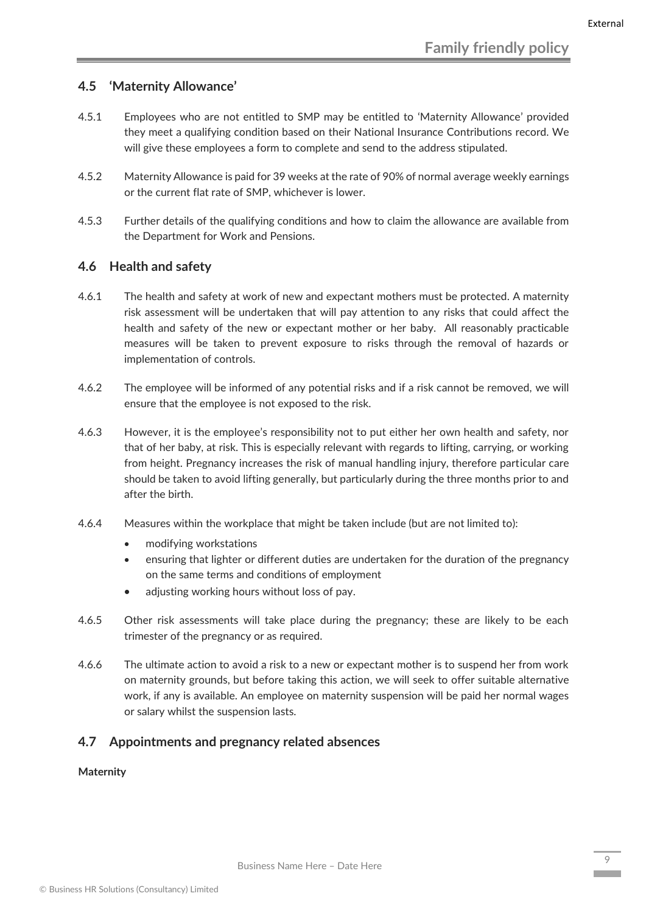#### <span id="page-9-0"></span>**4.5 'Maternity Allowance'**

- 4.5.1 Employees who are not entitled to SMP may be entitled to 'Maternity Allowance' provided they meet a qualifying condition based on their National Insurance Contributions record. We will give these employees a form to complete and send to the address stipulated.
- 4.5.2 Maternity Allowance is paid for 39 weeks at the rate of 90% of normal average weekly earnings or the current flat rate of SMP, whichever is lower.
- 4.5.3 Further details of the qualifying conditions and how to claim the allowance are available from the Department for Work and Pensions.

#### <span id="page-9-1"></span>**4.6 Health and safety**

- 4.6.1 The health and safety at work of new and expectant mothers must be protected. A maternity risk assessment will be undertaken that will pay attention to any risks that could affect the health and safety of the new or expectant mother or her baby. All reasonably practicable measures will be taken to prevent exposure to risks through the removal of hazards or implementation of controls.
- 4.6.2 The employee will be informed of any potential risks and if a risk cannot be removed, we will ensure that the employee is not exposed to the risk.
- 4.6.3 However, it is the employee's responsibility not to put either her own health and safety, nor that of her baby, at risk. This is especially relevant with regards to lifting, carrying, or working from height. Pregnancy increases the risk of manual handling injury, therefore particular care should be taken to avoid lifting generally, but particularly during the three months prior to and after the birth.
- 4.6.4 Measures within the workplace that might be taken include (but are not limited to):
	- modifying workstations
	- ensuring that lighter or different duties are undertaken for the duration of the pregnancy on the same terms and conditions of employment
	- adjusting working hours without loss of pay.
- 4.6.5 Other risk assessments will take place during the pregnancy; these are likely to be each trimester of the pregnancy or as required.
- 4.6.6 The ultimate action to avoid a risk to a new or expectant mother is to suspend her from work on maternity grounds, but before taking this action, we will seek to offer suitable alternative work, if any is available. An employee on maternity suspension will be paid her normal wages or salary whilst the suspension lasts.

#### <span id="page-9-2"></span>**4.7 Appointments and pregnancy related absences**

#### **Maternity**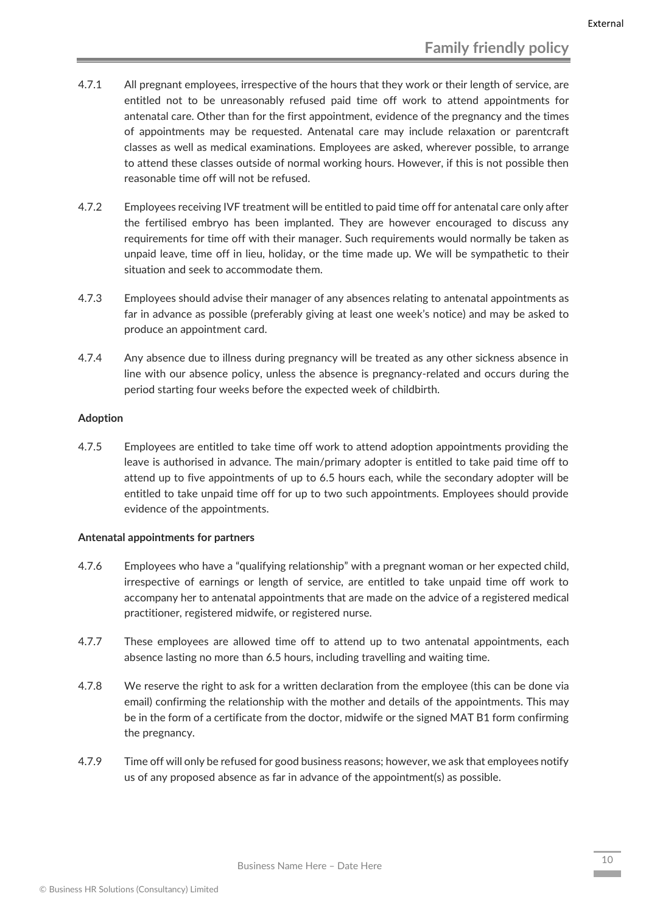- 4.7.1 All pregnant employees, irrespective of the hours that they work or their length of service, are entitled not to be unreasonably refused paid time off work to attend appointments for antenatal care. Other than for the first appointment, evidence of the pregnancy and the times of appointments may be requested. Antenatal care may include relaxation or parentcraft classes as well as medical examinations. Employees are asked, wherever possible, to arrange to attend these classes outside of normal working hours. However, if this is not possible then reasonable time off will not be refused.
- 4.7.2 Employees receiving IVF treatment will be entitled to paid time off for antenatal care only after the fertilised embryo has been implanted. They are however encouraged to discuss any requirements for time off with their manager. Such requirements would normally be taken as unpaid leave, time off in lieu, holiday, or the time made up. We will be sympathetic to their situation and seek to accommodate them.
- 4.7.3 Employees should advise their manager of any absences relating to antenatal appointments as far in advance as possible (preferably giving at least one week's notice) and may be asked to produce an appointment card.
- 4.7.4 Any absence due to illness during pregnancy will be treated as any other sickness absence in line with our absence policy, unless the absence is pregnancy-related and occurs during the period starting four weeks before the expected week of childbirth.

#### **Adoption**

4.7.5 Employees are entitled to take time off work to attend adoption appointments providing the leave is authorised in advance. The main/primary adopter is entitled to take paid time off to attend up to five appointments of up to 6.5 hours each, while the secondary adopter will be entitled to take unpaid time off for up to two such appointments. Employees should provide evidence of the appointments.

#### **Antenatal appointments for partners**

- 4.7.6 Employees who have a "qualifying relationship" with a pregnant woman or her expected child, irrespective of earnings or length of service, are entitled to take unpaid time off work to accompany her to antenatal appointments that are made on the advice of a registered medical practitioner, registered midwife, or registered nurse.
- 4.7.7 These employees are allowed time off to attend up to two antenatal appointments, each absence lasting no more than 6.5 hours, including travelling and waiting time.
- 4.7.8 We reserve the right to ask for a written declaration from the employee (this can be done via email) confirming the relationship with the mother and details of the appointments. This may be in the form of a certificate from the doctor, midwife or the signed MAT B1 form confirming the pregnancy.
- 4.7.9 Time off will only be refused for good business reasons; however, we ask that employees notify us of any proposed absence as far in advance of the appointment(s) as possible.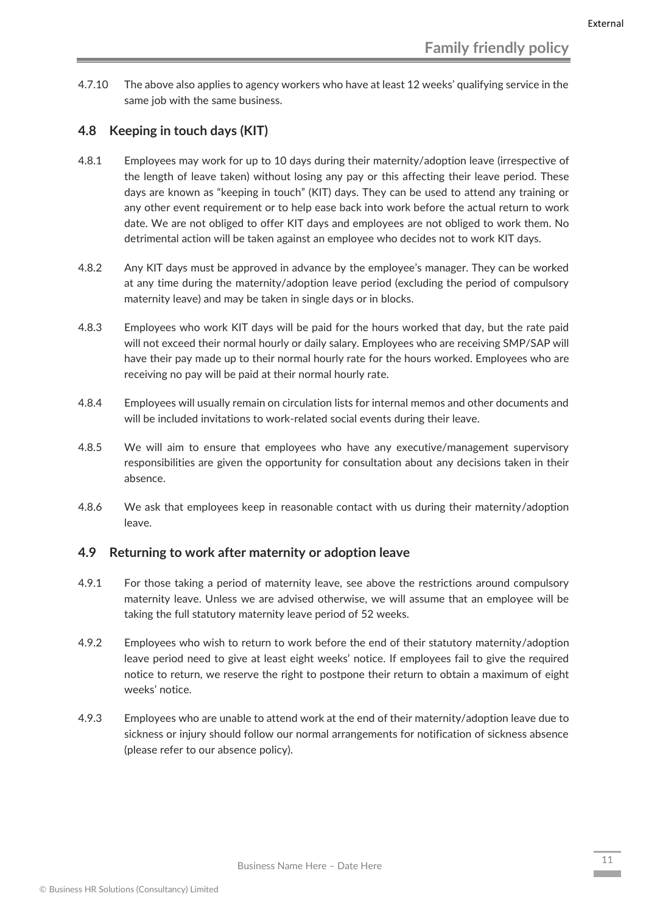4.7.10 The above also applies to agency workers who have at least 12 weeks' qualifying service in the same job with the same business.

#### <span id="page-11-0"></span>**4.8 Keeping in touch days (KIT)**

- 4.8.1 Employees may work for up to 10 days during their maternity/adoption leave (irrespective of the length of leave taken) without losing any pay or this affecting their leave period. These days are known as "keeping in touch" (KIT) days. They can be used to attend any training or any other event requirement or to help ease back into work before the actual return to work date. We are not obliged to offer KIT days and employees are not obliged to work them. No detrimental action will be taken against an employee who decides not to work KIT days.
- 4.8.2 Any KIT days must be approved in advance by the employee's manager. They can be worked at any time during the maternity/adoption leave period (excluding the period of compulsory maternity leave) and may be taken in single days or in blocks.
- 4.8.3 Employees who work KIT days will be paid for the hours worked that day, but the rate paid will not exceed their normal hourly or daily salary. Employees who are receiving SMP/SAP will have their pay made up to their normal hourly rate for the hours worked. Employees who are receiving no pay will be paid at their normal hourly rate.
- 4.8.4 Employees will usually remain on circulation lists for internal memos and other documents and will be included invitations to work-related social events during their leave.
- 4.8.5 We will aim to ensure that employees who have any executive/management supervisory responsibilities are given the opportunity for consultation about any decisions taken in their absence.
- 4.8.6 We ask that employees keep in reasonable contact with us during their maternity/adoption leave.

#### <span id="page-11-1"></span>**4.9 Returning to work after maternity or adoption leave**

- 4.9.1 For those taking a period of maternity leave, see above the restrictions around compulsory maternity leave. Unless we are advised otherwise, we will assume that an employee will be taking the full statutory maternity leave period of 52 weeks.
- 4.9.2 Employees who wish to return to work before the end of their statutory maternity/adoption leave period need to give at least eight weeks' notice. If employees fail to give the required notice to return, we reserve the right to postpone their return to obtain a maximum of eight weeks' notice.
- 4.9.3 Employees who are unable to attend work at the end of their maternity/adoption leave due to sickness or injury should follow our normal arrangements for notification of sickness absence (please refer to our absence policy).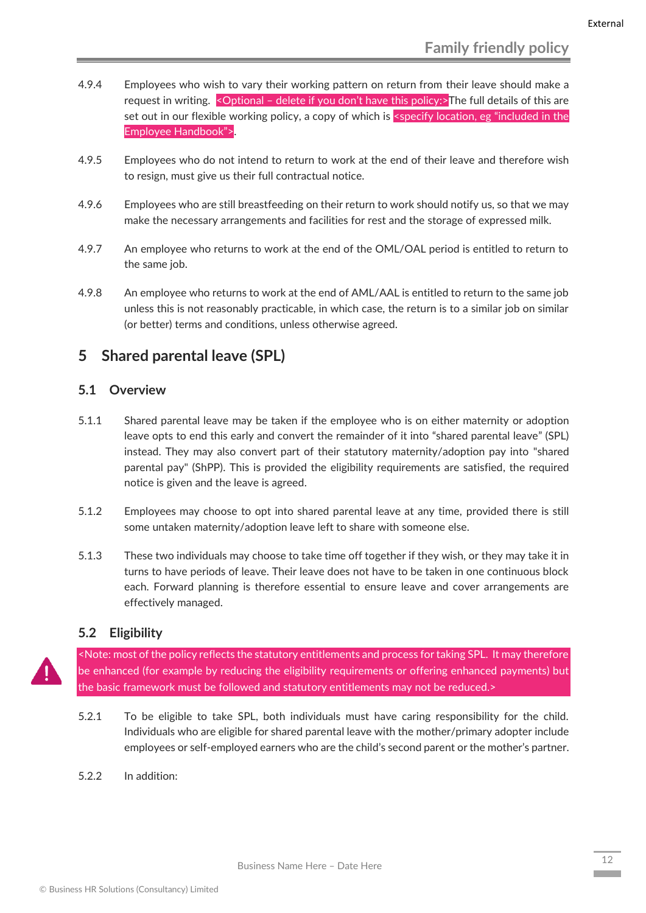- 4.9.4 Employees who wish to vary their working pattern on return from their leave should make a request in writing. < Optional - delete if you don't have this policy:>The full details of this are set out in our flexible working policy, a copy of which is <specify location, eg "included in the Employee Handbook">.
- 4.9.5 Employees who do not intend to return to work at the end of their leave and therefore wish to resign, must give us their full contractual notice.
- 4.9.6 Employees who are still breastfeeding on their return to work should notify us, so that we may make the necessary arrangements and facilities for rest and the storage of expressed milk.
- 4.9.7 An employee who returns to work at the end of the OML/OAL period is entitled to return to the same job.
- 4.9.8 An employee who returns to work at the end of AML/AAL is entitled to return to the same job unless this is not reasonably practicable, in which case, the return is to a similar job on similar (or better) terms and conditions, unless otherwise agreed.

## <span id="page-12-0"></span>**5 Shared parental leave (SPL)**

#### <span id="page-12-1"></span>**5.1 Overview**

- 5.1.1 Shared parental leave may be taken if the employee who is on either maternity or adoption leave opts to end this early and convert the remainder of it into "shared parental leave" (SPL) instead. They may also convert part of their statutory maternity/adoption pay into "shared parental pay" (ShPP). This is provided the eligibility requirements are satisfied, the required notice is given and the leave is agreed.
- 5.1.2 Employees may choose to opt into shared parental leave at any time, provided there is still some untaken maternity/adoption leave left to share with someone else.
- 5.1.3 These two individuals may choose to take time off together if they wish, or they may take it in turns to have periods of leave. Their leave does not have to be taken in one continuous block each. Forward planning is therefore essential to ensure leave and cover arrangements are effectively managed.

#### <span id="page-12-2"></span>**5.2 Eligibility**

<Note: most of the policy reflects the statutory entitlements and process for taking SPL. It may therefore be enhanced (for example by reducing the eligibility requirements or offering enhanced payments) but the basic framework must be followed and statutory entitlements may not be reduced.>

- 5.2.1 To be eligible to take SPL, both individuals must have caring responsibility for the child. Individuals who are eligible for shared parental leave with the mother/primary adopter include employees or self-employed earners who are the child's second parent or the mother's partner.
- 5.2.2 In addition: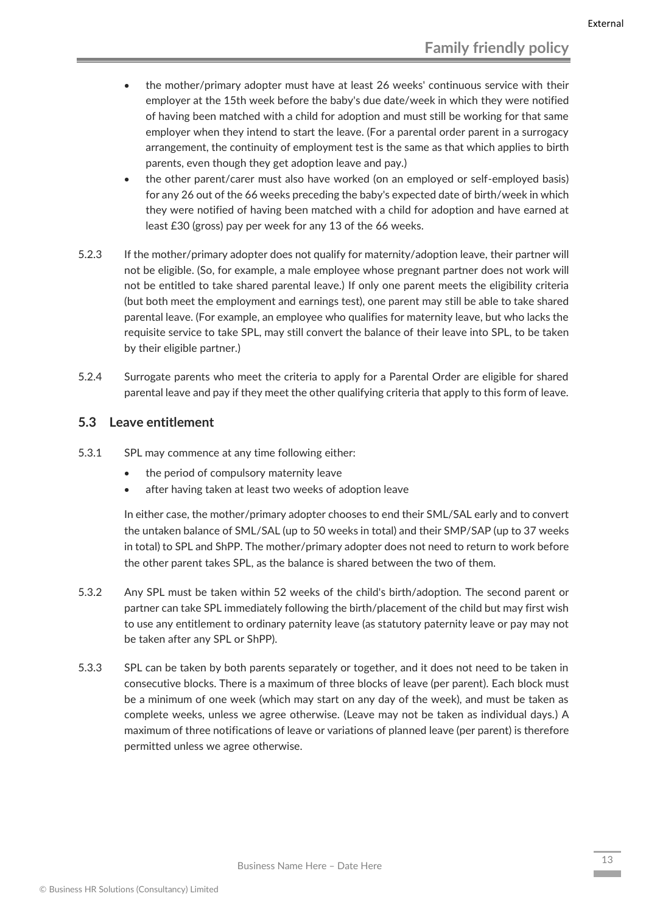- the mother/primary adopter must have at least 26 weeks' continuous service with their employer at the 15th week before the baby's due date/week in which they were notified of having been matched with a child for adoption and must still be working for that same employer when they intend to start the leave. (For a parental order parent in a surrogacy arrangement, the continuity of employment test is the same as that which applies to birth parents, even though they get adoption leave and pay.)
- the other parent/carer must also have worked (on an employed or self-employed basis) for any 26 out of the 66 weeks preceding the baby's expected date of birth/week in which they were notified of having been matched with a child for adoption and have earned at least £30 (gross) pay per week for any 13 of the 66 weeks.
- 5.2.3 If the mother/primary adopter does not qualify for maternity/adoption leave, their partner will not be eligible. (So, for example, a male employee whose pregnant partner does not work will not be entitled to take shared parental leave.) If only one parent meets the eligibility criteria (but both meet the employment and earnings test), one parent may still be able to take shared parental leave. (For example, an employee who qualifies for maternity leave, but who lacks the requisite service to take SPL, may still convert the balance of their leave into SPL, to be taken by their eligible partner.)
- 5.2.4 Surrogate parents who meet the criteria to apply for a Parental Order are eligible for shared parental leave and pay if they meet the other qualifying criteria that apply to this form of leave.

#### <span id="page-13-0"></span>**5.3 Leave entitlement**

- 5.3.1 SPL may commence at any time following either:
	- the period of compulsory maternity leave
	- after having taken at least two weeks of adoption leave

In either case, the mother/primary adopter chooses to end their SML/SAL early and to convert the untaken balance of SML/SAL (up to 50 weeks in total) and their SMP/SAP (up to 37 weeks in total) to SPL and ShPP. The mother/primary adopter does not need to return to work before the other parent takes SPL, as the balance is shared between the two of them.

- 5.3.2 Any SPL must be taken within 52 weeks of the child's birth/adoption. The second parent or partner can take SPL immediately following the birth/placement of the child but may first wish to use any entitlement to ordinary paternity leave (as statutory paternity leave or pay may not be taken after any SPL or ShPP).
- 5.3.3 SPL can be taken by both parents separately or together, and it does not need to be taken in consecutive blocks. There is a maximum of three blocks of leave (per parent). Each block must be a minimum of one week (which may start on any day of the week), and must be taken as complete weeks, unless we agree otherwise. (Leave may not be taken as individual days.) A maximum of three notifications of leave or variations of planned leave (per parent) is therefore permitted unless we agree otherwise.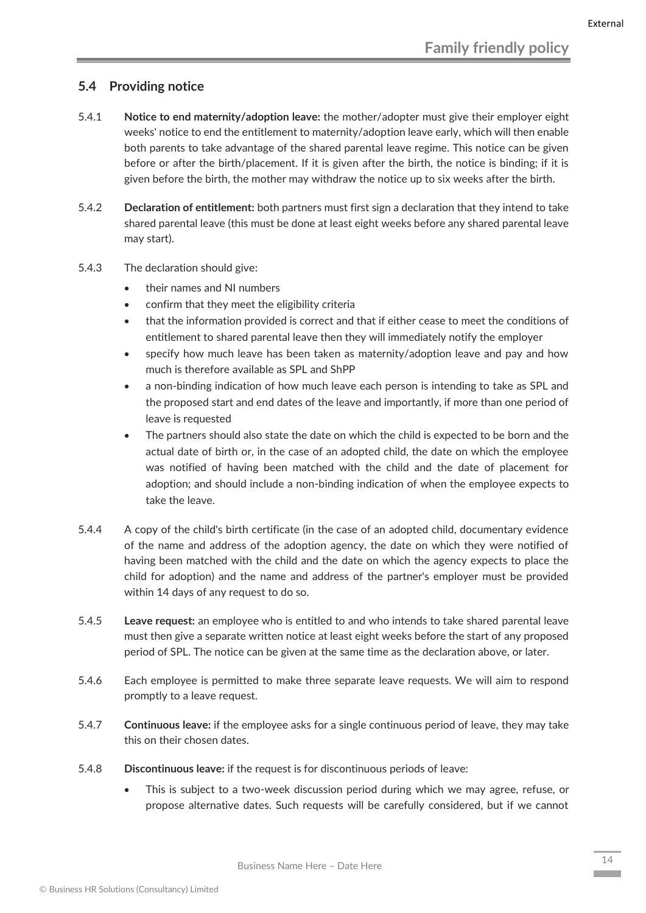#### <span id="page-14-0"></span>**5.4 Providing notice**

- 5.4.1 **Notice to end maternity/adoption leave:** the mother/adopter must give their employer eight weeks' notice to end the entitlement to maternity/adoption leave early, which will then enable both parents to take advantage of the shared parental leave regime. This notice can be given before or after the birth/placement. If it is given after the birth, the notice is binding; if it is given before the birth, the mother may withdraw the notice up to six weeks after the birth.
- 5.4.2 **Declaration of entitlement:** both partners must first sign a declaration that they intend to take shared parental leave (this must be done at least eight weeks before any shared parental leave may start).
- 5.4.3 The declaration should give:
	- their names and NI numbers
	- confirm that they meet the eligibility criteria
	- that the information provided is correct and that if either cease to meet the conditions of entitlement to shared parental leave then they will immediately notify the employer
	- specify how much leave has been taken as maternity/adoption leave and pay and how much is therefore available as SPL and ShPP
	- a non-binding indication of how much leave each person is intending to take as SPL and the proposed start and end dates of the leave and importantly, if more than one period of leave is requested
	- The partners should also state the date on which the child is expected to be born and the actual date of birth or, in the case of an adopted child, the date on which the employee was notified of having been matched with the child and the date of placement for adoption; and should include a non-binding indication of when the employee expects to take the leave.
- 5.4.4 A copy of the child's birth certificate (in the case of an adopted child, documentary evidence of the name and address of the adoption agency, the date on which they were notified of having been matched with the child and the date on which the agency expects to place the child for adoption) and the name and address of the partner's employer must be provided within 14 days of any request to do so.
- 5.4.5 **Leave request:** an employee who is entitled to and who intends to take shared parental leave must then give a separate written notice at least eight weeks before the start of any proposed period of SPL. The notice can be given at the same time as the declaration above, or later.
- 5.4.6 Each employee is permitted to make three separate leave requests. We will aim to respond promptly to a leave request.
- 5.4.7 **Continuous leave:** if the employee asks for a single continuous period of leave, they may take this on their chosen dates.
- 5.4.8 **Discontinuous leave:** if the request is for discontinuous periods of leave:
	- This is subject to a two-week discussion period during which we may agree, refuse, or propose alternative dates. Such requests will be carefully considered, but if we cannot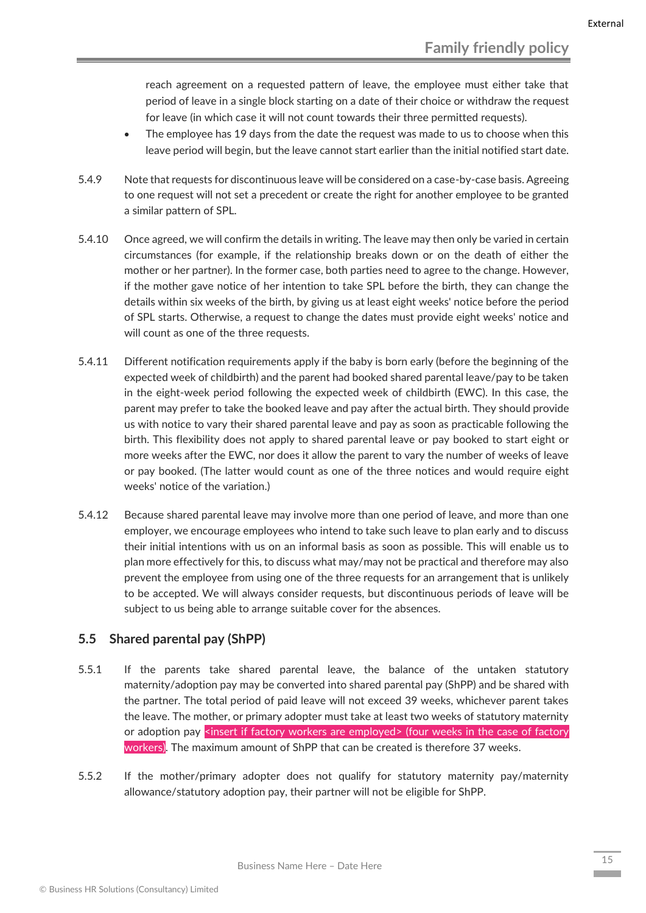reach agreement on a requested pattern of leave, the employee must either take that period of leave in a single block starting on a date of their choice or withdraw the request for leave (in which case it will not count towards their three permitted requests).

- The employee has 19 days from the date the request was made to us to choose when this leave period will begin, but the leave cannot start earlier than the initial notified start date.
- 5.4.9 Note that requests for discontinuous leave will be considered on a case-by-case basis. Agreeing to one request will not set a precedent or create the right for another employee to be granted a similar pattern of SPL.
- 5.4.10 Once agreed, we will confirm the details in writing. The leave may then only be varied in certain circumstances (for example, if the relationship breaks down or on the death of either the mother or her partner). In the former case, both parties need to agree to the change. However, if the mother gave notice of her intention to take SPL before the birth, they can change the details within six weeks of the birth, by giving us at least eight weeks' notice before the period of SPL starts. Otherwise, a request to change the dates must provide eight weeks' notice and will count as one of the three requests.
- 5.4.11 Different notification requirements apply if the baby is born early (before the beginning of the expected week of childbirth) and the parent had booked shared parental leave/pay to be taken in the eight-week period following the expected week of childbirth (EWC). In this case, the parent may prefer to take the booked leave and pay after the actual birth. They should provide us with notice to vary their shared parental leave and pay as soon as practicable following the birth. This flexibility does not apply to shared parental leave or pay booked to start eight or more weeks after the EWC, nor does it allow the parent to vary the number of weeks of leave or pay booked. (The latter would count as one of the three notices and would require eight weeks' notice of the variation.)
- 5.4.12 Because shared parental leave may involve more than one period of leave, and more than one employer, we encourage employees who intend to take such leave to plan early and to discuss their initial intentions with us on an informal basis as soon as possible. This will enable us to plan more effectively for this, to discuss what may/may not be practical and therefore may also prevent the employee from using one of the three requests for an arrangement that is unlikely to be accepted. We will always consider requests, but discontinuous periods of leave will be subject to us being able to arrange suitable cover for the absences.

#### <span id="page-15-0"></span>**5.5 Shared parental pay (ShPP)**

- 5.5.1 If the parents take shared parental leave, the balance of the untaken statutory maternity/adoption pay may be converted into shared parental pay (ShPP) and be shared with the partner. The total period of paid leave will not exceed 39 weeks, whichever parent takes the leave. The mother, or primary adopter must take at least two weeks of statutory maternity or adoption pay <insert if factory workers are employed> (four weeks in the case of factory workers). The maximum amount of ShPP that can be created is therefore 37 weeks.
- 5.5.2 If the mother/primary adopter does not qualify for statutory maternity pay/maternity allowance/statutory adoption pay, their partner will not be eligible for ShPP.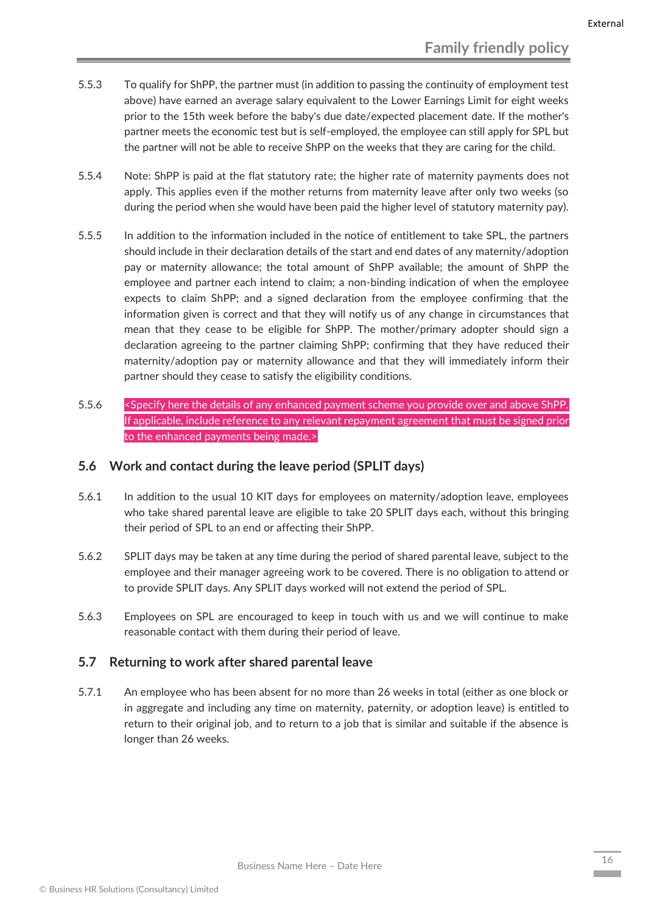- 5.5.3 To qualify for ShPP, the partner must (in addition to passing the continuity of employment test above) have earned an average salary equivalent to the Lower Earnings Limit for eight weeks prior to the 15th week before the baby's due date/expected placement date. If the mother's partner meets the economic test but is self-employed, the employee can still apply for SPL but the partner will not be able to receive ShPP on the weeks that they are caring for the child.
- 5.5.4 Note: ShPP is paid at the flat statutory rate; the higher rate of maternity payments does not apply. This applies even if the mother returns from maternity leave after only two weeks (so during the period when she would have been paid the higher level of statutory maternity pay).
- 5.5.5 In addition to the information included in the notice of entitlement to take SPL, the partners should include in their declaration details of the start and end dates of any maternity/adoption pay or maternity allowance; the total amount of ShPP available; the amount of ShPP the employee and partner each intend to claim; a non-binding indication of when the employee expects to claim ShPP; and a signed declaration from the employee confirming that the information given is correct and that they will notify us of any change in circumstances that mean that they cease to be eligible for ShPP. The mother/primary adopter should sign a declaration agreeing to the partner claiming ShPP; confirming that they have reduced their maternity/adoption pay or maternity allowance and that they will immediately inform their partner should they cease to satisfy the eligibility conditions.
- 5.5.6 <Specify here the details of any enhanced payment scheme you provide over and above ShPP. If applicable, include reference to any relevant repayment agreement that must be signed prior to the enhanced payments being made.>

#### <span id="page-16-0"></span>**5.6 Work and contact during the leave period (SPLIT days)**

- 5.6.1 In addition to the usual 10 KIT days for employees on maternity/adoption leave, employees who take shared parental leave are eligible to take 20 SPLIT days each, without this bringing their period of SPL to an end or affecting their ShPP.
- 5.6.2 SPLIT days may be taken at any time during the period of shared parental leave, subject to the employee and their manager agreeing work to be covered. There is no obligation to attend or to provide SPLIT days. Any SPLIT days worked will not extend the period of SPL.
- 5.6.3 Employees on SPL are encouraged to keep in touch with us and we will continue to make reasonable contact with them during their period of leave.

#### <span id="page-16-1"></span>**5.7 Returning to work after shared parental leave**

5.7.1 An employee who has been absent for no more than 26 weeks in total (either as one block or in aggregate and including any time on maternity, paternity, or adoption leave) is entitled to return to their original job, and to return to a job that is similar and suitable if the absence is longer than 26 weeks.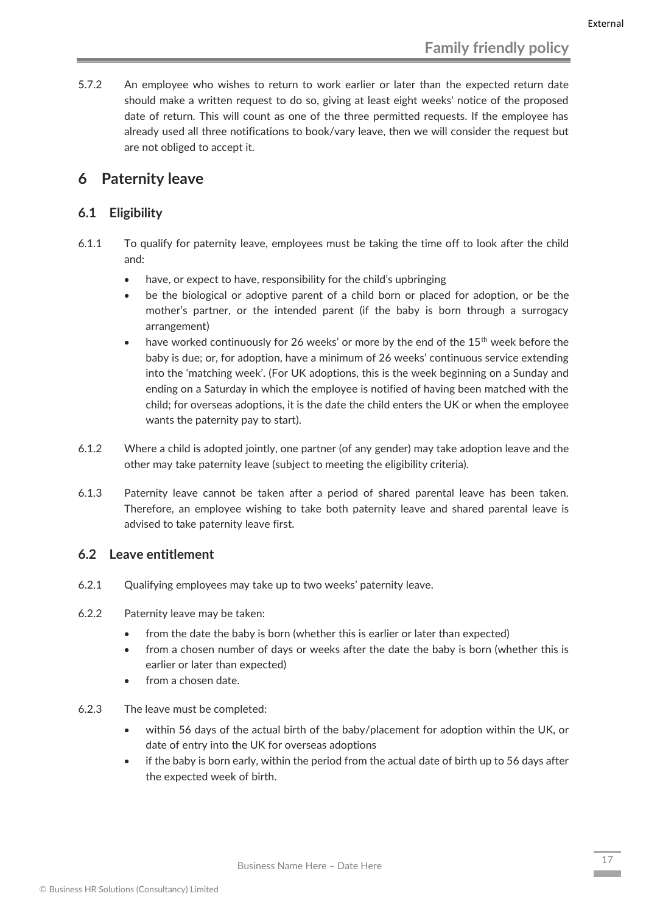5.7.2 An employee who wishes to return to work earlier or later than the expected return date should make a written request to do so, giving at least eight weeks' notice of the proposed date of return. This will count as one of the three permitted requests. If the employee has already used all three notifications to book/vary leave, then we will consider the request but are not obliged to accept it.

## <span id="page-17-0"></span>**6 Paternity leave**

#### <span id="page-17-1"></span>**6.1 Eligibility**

- 6.1.1 To qualify for paternity leave, employees must be taking the time off to look after the child and:
	- have, or expect to have, responsibility for the child's upbringing
	- be the biological or adoptive parent of a child born or placed for adoption, or be the mother's partner, or the intended parent (if the baby is born through a surrogacy arrangement)
	- have worked continuously for 26 weeks' or more by the end of the  $15<sup>th</sup>$  week before the baby is due; or, for adoption, have a minimum of 26 weeks' continuous service extending into the 'matching week'. (For UK adoptions, this is the week beginning on a Sunday and ending on a Saturday in which the employee is notified of having been matched with the child; for overseas adoptions, it is the date the child enters the UK or when the employee wants the paternity pay to start).
- 6.1.2 Where a child is adopted jointly, one partner (of any gender) may take adoption leave and the other may take paternity leave (subject to meeting the eligibility criteria).
- 6.1.3 Paternity leave cannot be taken after a period of shared parental leave has been taken. Therefore, an employee wishing to take both paternity leave and shared parental leave is advised to take paternity leave first.

#### <span id="page-17-2"></span>**6.2 Leave entitlement**

- 6.2.1 Qualifying employees may take up to two weeks' paternity leave.
- 6.2.2 Paternity leave may be taken:
	- from the date the baby is born (whether this is earlier or later than expected)
	- from a chosen number of days or weeks after the date the baby is born (whether this is earlier or later than expected)
	- from a chosen date.
- 6.2.3 The leave must be completed:
	- within 56 days of the actual birth of the baby/placement for adoption within the UK, or date of entry into the UK for overseas adoptions
	- if the baby is born early, within the period from the actual date of birth up to 56 days after the expected week of birth.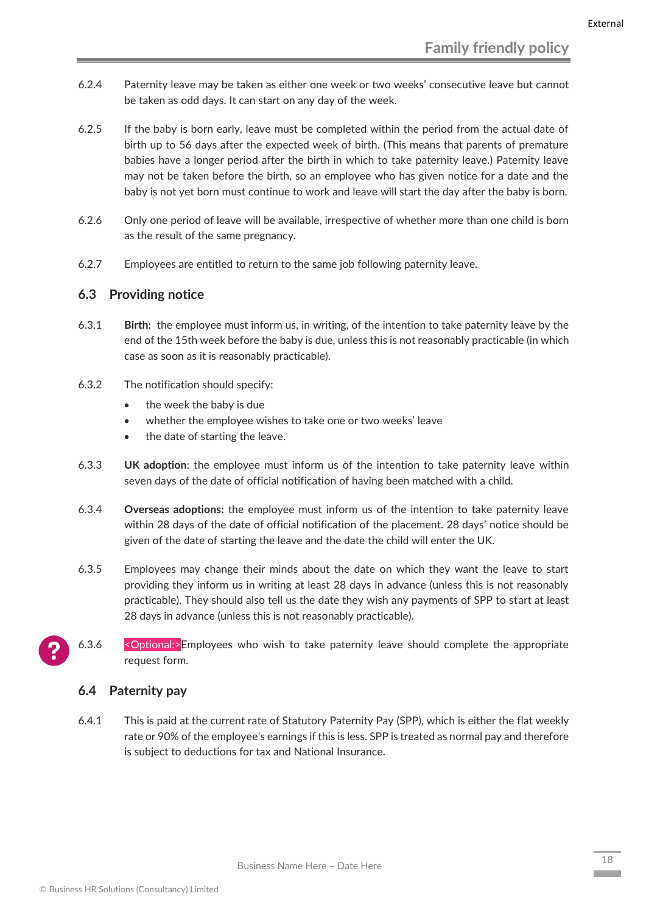- 6.2.4 Paternity leave may be taken as either one week or two weeks' consecutive leave but cannot be taken as odd days. It can start on any day of the week.
- 6.2.5 If the baby is born early, leave must be completed within the period from the actual date of birth up to 56 days after the expected week of birth. (This means that parents of premature babies have a longer period after the birth in which to take paternity leave.) Paternity leave may not be taken before the birth, so an employee who has given notice for a date and the baby is not yet born must continue to work and leave will start the day after the baby is born.
- 6.2.6 Only one period of leave will be available, irrespective of whether more than one child is born as the result of the same pregnancy.
- 6.2.7 Employees are entitled to return to the same job following paternity leave.

#### <span id="page-18-0"></span>**6.3 Providing notice**

- 6.3.1 **Birth:** the employee must inform us, in writing, of the intention to take paternity leave by the end of the 15th week before the baby is due, unless this is not reasonably practicable (in which case as soon as it is reasonably practicable).
- 6.3.2 The notification should specify:
	- the week the baby is due
	- whether the employee wishes to take one or two weeks' leave
	- the date of starting the leave.
- 6.3.3 **UK adoption**: the employee must inform us of the intention to take paternity leave within seven days of the date of official notification of having been matched with a child.
- 6.3.4 **Overseas adoptions:** the employee must inform us of the intention to take paternity leave within 28 days of the date of official notification of the placement. 28 days' notice should be given of the date of starting the leave and the date the child will enter the UK.
- 6.3.5 Employees may change their minds about the date on which they want the leave to start providing they inform us in writing at least 28 days in advance (unless this is not reasonably practicable). They should also tell us the date they wish any payments of SPP to start at least 28 days in advance (unless this is not reasonably practicable).
- 6.3.6 <Optional:>Employees who wish to take paternity leave should complete the appropriate request form.

#### <span id="page-18-1"></span>**6.4 Paternity pay**

6.4.1 This is paid at the current rate of Statutory Paternity Pay (SPP), which is either the flat weekly rate or 90% of the employee's earnings if this is less. SPP is treated as normal pay and therefore is subject to deductions for tax and National Insurance.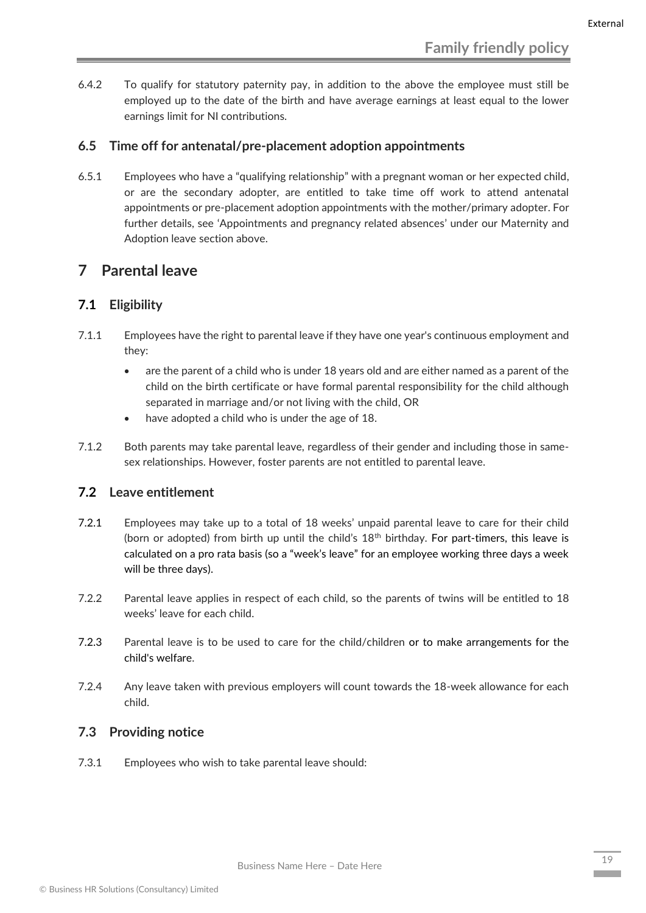6.4.2 To qualify for statutory paternity pay, in addition to the above the employee must still be employed up to the date of the birth and have average earnings at least equal to the lower earnings limit for NI contributions.

#### <span id="page-19-0"></span>**6.5 Time off for antenatal/pre-placement adoption appointments**

6.5.1 Employees who have a "qualifying relationship" with a pregnant woman or her expected child, or are the secondary adopter, are entitled to take time off work to attend antenatal appointments or pre-placement adoption appointments with the mother/primary adopter. For further details, see 'Appointments and pregnancy related absences' under our Maternity and Adoption leave section above.

## <span id="page-19-1"></span>**7 Parental leave**

#### <span id="page-19-2"></span>**7.1 Eligibility**

- 7.1.1 Employees have the right to parental leave if they have one year's continuous employment and they:
	- are the parent of a child who is under 18 years old and are either named as a parent of the child on the birth certificate or have formal parental responsibility for the child although separated in marriage and/or not living with the child, OR
	- have adopted a child who is under the age of 18.
- 7.1.2 Both parents may take parental leave, regardless of their gender and including those in samesex relationships. However, foster parents are not entitled to parental leave.

#### <span id="page-19-3"></span>**7.2 Leave entitlement**

- 7.2.1 Employees may take up to a total of 18 weeks' unpaid parental leave to care for their child (born or adopted) from birth up until the child's  $18<sup>th</sup>$  birthday. For part-timers, this leave is calculated on a pro rata basis (so a "week's leave" for an employee working three days a week will be three days).
- 7.2.2 Parental leave applies in respect of each child, so the parents of twins will be entitled to 18 weeks' leave for each child.
- 7.2.3 Parental leave is to be used to care for the child/children or to make arrangements for the child's welfare.
- 7.2.4 Any leave taken with previous employers will count towards the 18-week allowance for each child.

#### <span id="page-19-4"></span>**7.3 Providing notice**

7.3.1 Employees who wish to take parental leave should: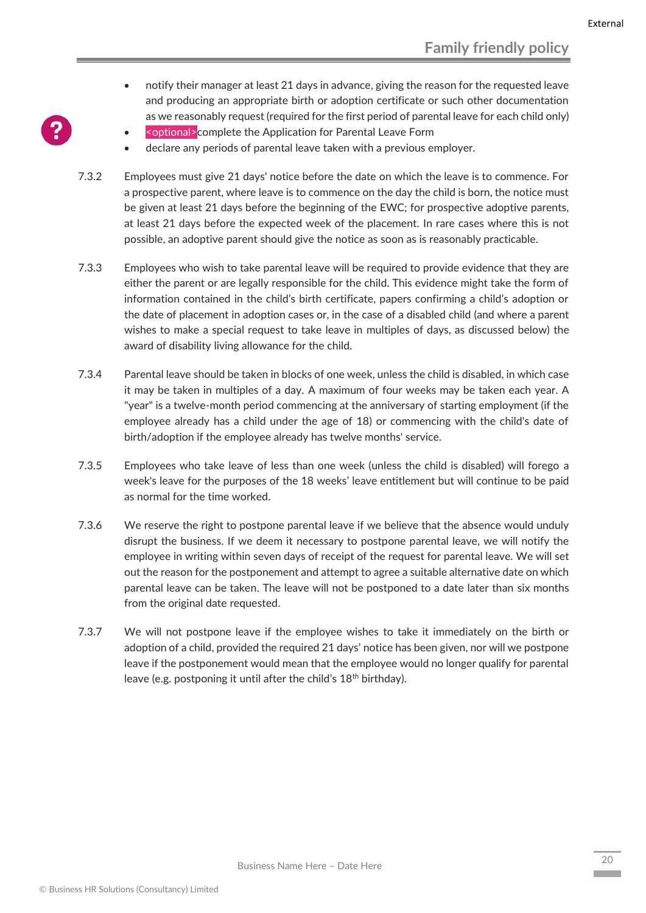- notify their manager at least 21 days in advance, giving the reason for the requested leave and producing an appropriate birth or adoption certificate or such other documentation as we reasonably request (required for the first period of parental leave for each child only)
- <optional>complete the Application for Parental Leave Form
- declare any periods of parental leave taken with a previous employer.
- 7.3.2 Employees must give 21 days' notice before the date on which the leave is to commence. For a prospective parent, where leave is to commence on the day the child is born, the notice must be given at least 21 days before the beginning of the EWC; for prospective adoptive parents, at least 21 days before the expected week of the placement. In rare cases where this is not possible, an adoptive parent should give the notice as soon as is reasonably practicable.
- 7.3.3 Employees who wish to take parental leave will be required to provide evidence that they are either the parent or are legally responsible for the child. This evidence might take the form of information contained in the child's birth certificate, papers confirming a child's adoption or the date of placement in adoption cases or, in the case of a disabled child (and where a parent wishes to make a special request to take leave in multiples of days, as discussed below) the award of disability living allowance for the child.
- 7.3.4 Parental leave should be taken in blocks of one week, unless the child is disabled, in which case it may be taken in multiples of a day. A maximum of four weeks may be taken each year. A "year" is a twelve-month period commencing at the anniversary of starting employment (if the employee already has a child under the age of 18) or commencing with the child's date of birth/adoption if the employee already has twelve months' service.
- 7.3.5 Employees who take leave of less than one week (unless the child is disabled) will forego a week's leave for the purposes of the 18 weeks' leave entitlement but will continue to be paid as normal for the time worked.
- 7.3.6 We reserve the right to postpone parental leave if we believe that the absence would unduly disrupt the business. If we deem it necessary to postpone parental leave, we will notify the employee in writing within seven days of receipt of the request for parental leave. We will set out the reason for the postponement and attempt to agree a suitable alternative date on which parental leave can be taken. The leave will not be postponed to a date later than six months from the original date requested.
- 7.3.7 We will not postpone leave if the employee wishes to take it immediately on the birth or adoption of a child, provided the required 21 days' notice has been given, nor will we postpone leave if the postponement would mean that the employee would no longer qualify for parental leave (e.g. postponing it until after the child's 18<sup>th</sup> birthday).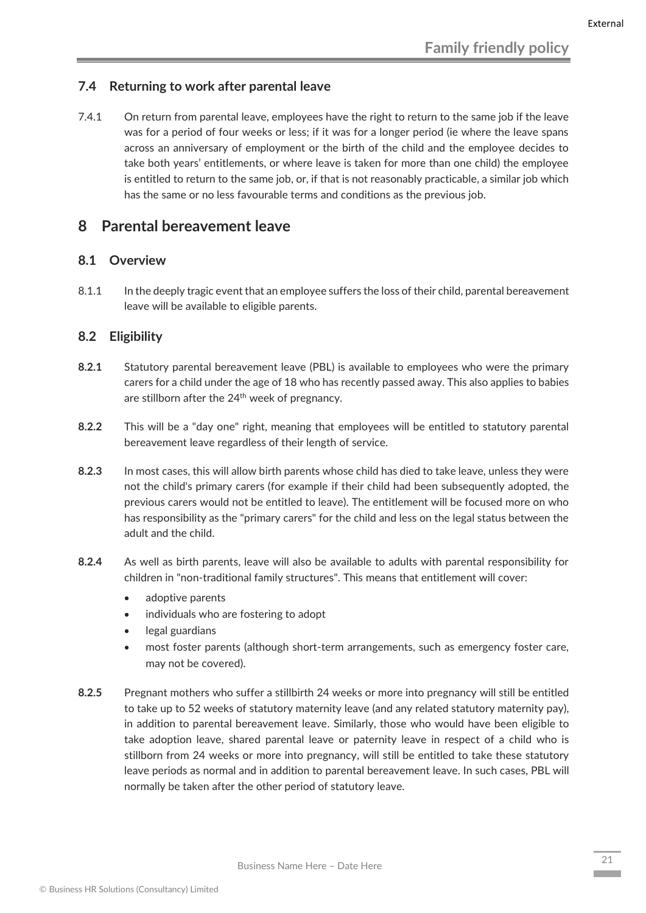#### <span id="page-21-0"></span>**7.4 Returning to work after parental leave**

7.4.1 On return from parental leave, employees have the right to return to the same job if the leave was for a period of four weeks or less; if it was for a longer period (ie where the leave spans across an anniversary of employment or the birth of the child and the employee decides to take both years' entitlements, or where leave is taken for more than one child) the employee is entitled to return to the same job, or, if that is not reasonably practicable, a similar job which has the same or no less favourable terms and conditions as the previous job.

### <span id="page-21-1"></span>**8 Parental bereavement leave**

#### <span id="page-21-2"></span>**8.1 Overview**

8.1.1 In the deeply tragic event that an employee suffers the loss of their child, parental bereavement leave will be available to eligible parents.

#### <span id="page-21-3"></span>**8.2 Eligibility**

- **8.2.1** Statutory parental bereavement leave (PBL) is available to employees who were the primary carers for a child under the age of 18 who has recently passed away. This also applies to babies are stillborn after the 24<sup>th</sup> week of pregnancy.
- **8.2.2** This will be a "day one" right, meaning that employees will be entitled to statutory parental bereavement leave regardless of their length of service.
- **8.2.3** In most cases, this will allow birth parents whose child has died to take leave, unless they were not the child's primary carers (for example if their child had been subsequently adopted, the previous carers would not be entitled to leave). The entitlement will be focused more on who has responsibility as the "primary carers" for the child and less on the legal status between the adult and the child.
- **8.2.4** As well as birth parents, leave will also be available to adults with parental responsibility for children in "non-traditional family structures". This means that entitlement will cover:
	- adoptive parents
	- individuals who are fostering to adopt
	- legal guardians
	- most foster parents (although short-term arrangements, such as emergency foster care, may not be covered).
- **8.2.5** Pregnant mothers who suffer a stillbirth 24 weeks or more into pregnancy will still be entitled to take up to 52 weeks of statutory maternity leave (and any related statutory maternity pay), in addition to parental bereavement leave. Similarly, those who would have been eligible to take adoption leave, shared parental leave or paternity leave in respect of a child who is stillborn from 24 weeks or more into pregnancy, will still be entitled to take these statutory leave periods as normal and in addition to parental bereavement leave. In such cases, PBL will normally be taken after the other period of statutory leave.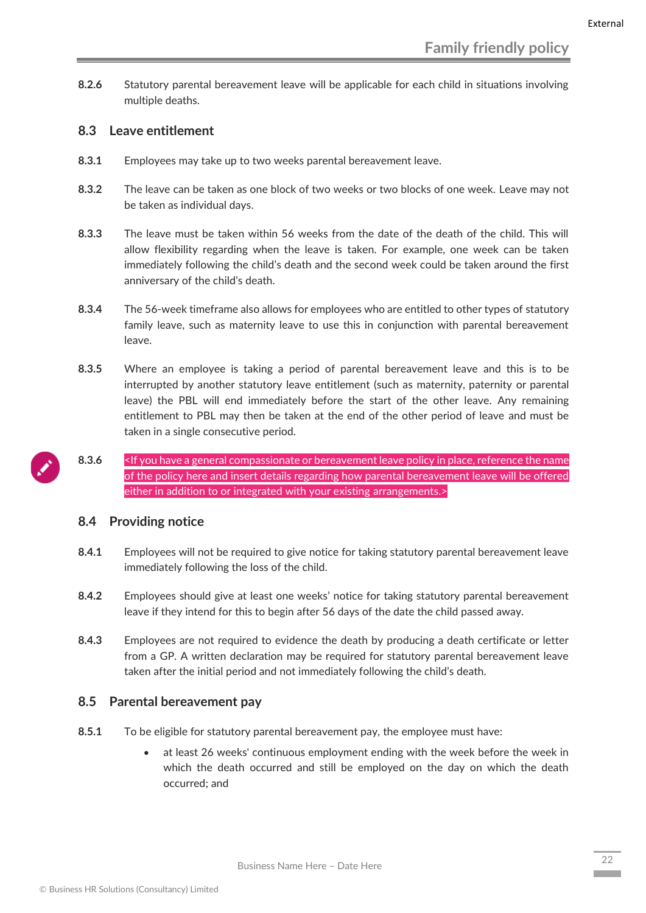**8.2.6** Statutory parental bereavement leave will be applicable for each child in situations involving multiple deaths.

#### <span id="page-22-0"></span>**8.3 Leave entitlement**

- **8.3.1** Employees may take up to two weeks parental bereavement leave.
- **8.3.2** The leave can be taken as one block of two weeks or two blocks of one week. Leave may not be taken as individual days.
- **8.3.3** The leave must be taken within 56 weeks from the date of the death of the child. This will allow flexibility regarding when the leave is taken. For example, one week can be taken immediately following the child's death and the second week could be taken around the first anniversary of the child's death.
- **8.3.4** The 56-week timeframe also allows for employees who are entitled to other types of statutory family leave, such as maternity leave to use this in conjunction with parental bereavement leave.
- **8.3.5** Where an employee is taking a period of parental bereavement leave and this is to be interrupted by another statutory leave entitlement (such as maternity, paternity or parental leave) the PBL will end immediately before the start of the other leave. Any remaining entitlement to PBL may then be taken at the end of the other period of leave and must be taken in a single consecutive period.
- 8.3.6 Simple 15 you have a general compassionate or bereavement leave policy in place, reference the name of the policy here and insert details regarding how parental bereavement leave will be offered either in addition to or integrated with your existing arrangements.>

#### <span id="page-22-1"></span>**8.4 Providing notice**

- **8.4.1** Employees will not be required to give notice for taking statutory parental bereavement leave immediately following the loss of the child.
- **8.4.2** Employees should give at least one weeks' notice for taking statutory parental bereavement leave if they intend for this to begin after 56 days of the date the child passed away.
- **8.4.3** Employees are not required to evidence the death by producing a death certificate or letter from a GP. A written declaration may be required for statutory parental bereavement leave taken after the initial period and not immediately following the child's death.

#### <span id="page-22-2"></span>**8.5 Parental bereavement pay**

- **8.5.1** To be eligible for statutory parental bereavement pay, the employee must have:
	- at least 26 weeks' continuous employment ending with the week before the week in which the death occurred and still be employed on the day on which the death occurred; and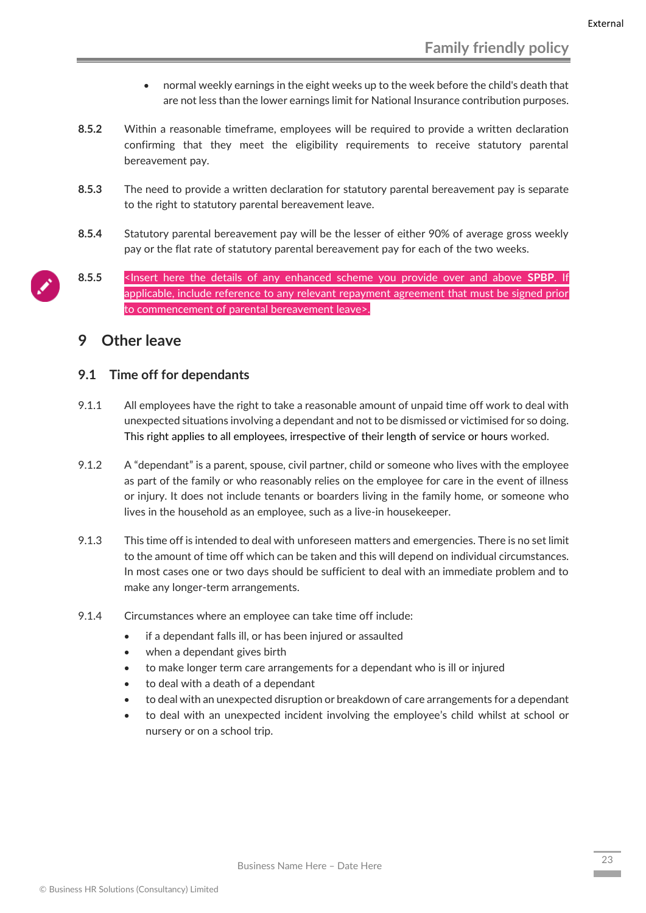- normal weekly earnings in the eight weeks up to the week before the child's death that are not less than the lower earnings limit for National Insurance contribution purposes.
- **8.5.2** Within a reasonable timeframe, employees will be required to provide a written declaration confirming that they meet the eligibility requirements to receive statutory parental bereavement pay.
- **8.5.3** The need to provide a written declaration for statutory parental bereavement pay is separate to the right to statutory parental bereavement leave.
- **8.5.4** Statutory parental bereavement pay will be the lesser of either 90% of average gross weekly pay or the flat rate of statutory parental bereavement pay for each of the two weeks.
- **8.5.5** <Insert here the details of any enhanced scheme you provide over and above **SPBP**. If applicable, include reference to any relevant repayment agreement that must be signed prior to commencement of parental bereavement leave>.

## <span id="page-23-0"></span>**9 Other leave**

#### <span id="page-23-1"></span>**9.1 Time off for dependants**

- 9.1.1 All employees have the right to take a reasonable amount of unpaid time off work to deal with unexpected situations involving a dependant and not to be dismissed or victimised for so doing. This right applies to all employees, irrespective of their length of service or hours worked.
- 9.1.2 A "dependant" is a parent, spouse, civil partner, child or someone who lives with the employee as part of the family or who reasonably relies on the employee for care in the event of illness or injury. It does not include tenants or boarders living in the family home, or someone who lives in the household as an employee, such as a live-in housekeeper.
- 9.1.3 This time off is intended to deal with unforeseen matters and emergencies. There is no set limit to the amount of time off which can be taken and this will depend on individual circumstances. In most cases one or two days should be sufficient to deal with an immediate problem and to make any longer-term arrangements.
- 9.1.4 Circumstances where an employee can take time off include:
	- if a dependant falls ill, or has been injured or assaulted
	- when a dependant gives birth
	- to make longer term care arrangements for a dependant who is ill or injured
	- to deal with a death of a dependant
	- to deal with an unexpected disruption or breakdown of care arrangements for a dependant
	- to deal with an unexpected incident involving the employee's child whilst at school or nursery or on a school trip.

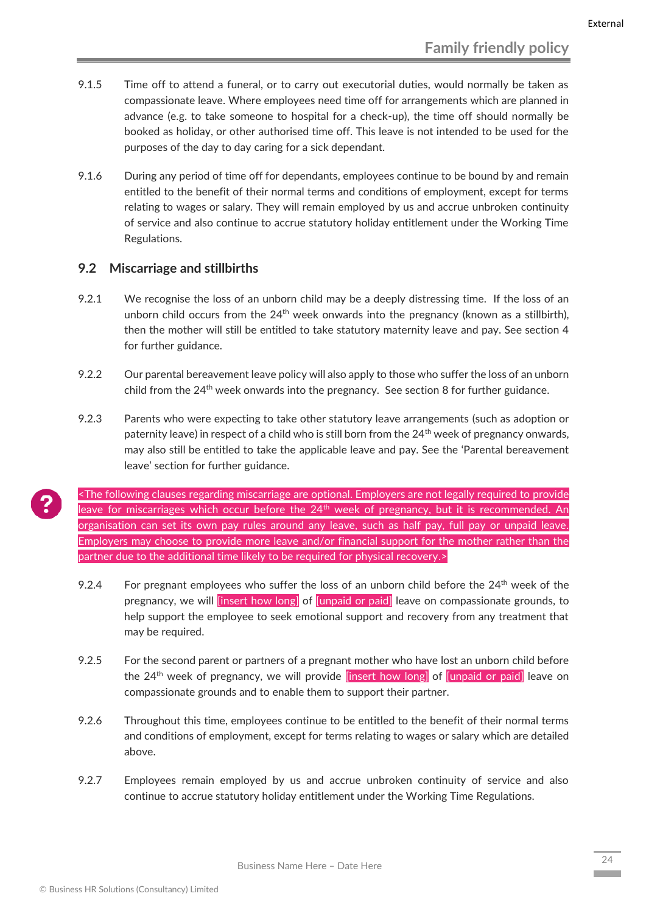- 9.1.5 Time off to attend a funeral, or to carry out executorial duties, would normally be taken as compassionate leave. Where employees need time off for arrangements which are planned in advance (e.g. to take someone to hospital for a check-up), the time off should normally be booked as holiday, or other authorised time off. This leave is not intended to be used for the purposes of the day to day caring for a sick dependant.
- 9.1.6 During any period of time off for dependants, employees continue to be bound by and remain entitled to the benefit of their normal terms and conditions of employment, except for terms relating to wages or salary. They will remain employed by us and accrue unbroken continuity of service and also continue to accrue statutory holiday entitlement under the Working Time Regulations.

#### <span id="page-24-0"></span>**9.2 Miscarriage and stillbirths**

- 9.2.1 We recognise the loss of an unborn child may be a deeply distressing time. If the loss of an unborn child occurs from the  $24<sup>th</sup>$  week onwards into the pregnancy (known as a stillbirth), then the mother will still be entitled to take statutory maternity leave and pay. See section 4 for further guidance.
- 9.2.2 Our parental bereavement leave policy will also apply to those who suffer the loss of an unborn child from the  $24<sup>th</sup>$  week onwards into the pregnancy. See section 8 for further guidance.
- 9.2.3 Parents who were expecting to take other statutory leave arrangements (such as adoption or paternity leave) in respect of a child who is still born from the 24<sup>th</sup> week of pregnancy onwards, may also still be entitled to take the applicable leave and pay. See the 'Parental bereavement leave' section for further guidance.

<The following clauses regarding miscarriage are optional. Employers are not legally required to provide leave for miscarriages which occur before the 24<sup>th</sup> week of pregnancy, but it is recommended. An organisation can set its own pay rules around any leave, such as half pay, full pay or unpaid leave. Employers may choose to provide more leave and/or financial support for the mother rather than the partner due to the additional time likely to be required for physical recovery.>

- 9.2.4 For pregnant employees who suffer the loss of an unborn child before the  $24<sup>th</sup>$  week of the pregnancy, we will *[insert how long]* of *[unpaid or paid]* leave on compassionate grounds, to help support the employee to seek emotional support and recovery from any treatment that may be required.
- 9.2.5 For the second parent or partners of a pregnant mother who have lost an unborn child before the 24<sup>th</sup> week of pregnancy, we will provide linsert how long of lunpaid or paid leave on compassionate grounds and to enable them to support their partner.
- 9.2.6 Throughout this time, employees continue to be entitled to the benefit of their normal terms and conditions of employment, except for terms relating to wages or salary which are detailed above.
- 9.2.7 Employees remain employed by us and accrue unbroken continuity of service and also continue to accrue statutory holiday entitlement under the Working Time Regulations.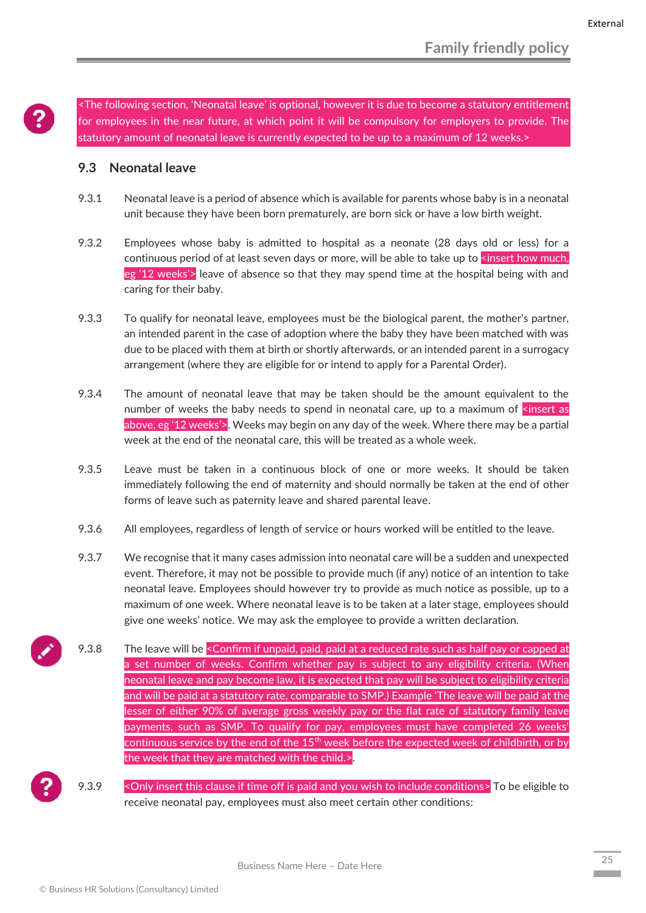<The following section, 'Neonatal leave' is optional, however it is due to become a statutory entitlement for employees in the near future, at which point it will be compulsory for employers to provide. The statutory amount of neonatal leave is currently expected to be up to a maximum of 12 weeks.>

#### <span id="page-25-0"></span>**9.3 Neonatal leave**

- 9.3.1 Neonatal leave is a period of absence which is available for parents whose baby is in a neonatal unit because they have been born prematurely, are born sick or have a low birth weight.
- 9.3.2 Employees whose baby is admitted to hospital as a neonate (28 days old or less) for a continuous period of at least seven days or more, will be able to take up to  $\leq$  insert how much, eg '12 weeks'> leave of absence so that they may spend time at the hospital being with and caring for their baby.
- 9.3.3 To qualify for neonatal leave, employees must be the biological parent, the mother's partner, an intended parent in the case of adoption where the baby they have been matched with was due to be placed with them at birth or shortly afterwards, or an intended parent in a surrogacy arrangement (where they are eligible for or intend to apply for a Parental Order).
- 9.3.4 The amount of neonatal leave that may be taken should be the amount equivalent to the number of weeks the baby needs to spend in neonatal care, up to a maximum of  $\zeta$  insert as above, eg '12 weeks'>. Weeks may begin on any day of the week. Where there may be a partial week at the end of the neonatal care, this will be treated as a whole week.
- 9.3.5 Leave must be taken in a continuous block of one or more weeks. It should be taken immediately following the end of maternity and should normally be taken at the end of other forms of leave such as paternity leave and shared parental leave.
- 9.3.6 All employees, regardless of length of service or hours worked will be entitled to the leave.
- 9.3.7 We recognise that it many cases admission into neonatal care will be a sudden and unexpected event. Therefore, it may not be possible to provide much (if any) notice of an intention to take neonatal leave. Employees should however try to provide as much notice as possible, up to a maximum of one week. Where neonatal leave is to be taken at a later stage, employees should give one weeks' notice. We may ask the employee to provide a written declaration.
- 9.3.8 The leave will be < Confirm if unpaid, paid, paid at a reduced rate such as half pay or capped at a set number of weeks. Confirm whether pay is subject to any eligibility criteria. (When neonatal leave and pay become law, it is expected that pay will be subject to eligibility criteria and will be paid at a statutory rate, comparable to SMP.) Example 'The leave will be paid at the lesser of either 90% of average gross weekly pay or the flat rate of statutory family leave payments, such as SMP. To qualify for pay, employees must have completed 26 weeks' continuous service by the end of the 15<sup>th</sup> week before the expected week of childbirth, or by the week that they are matched with the child.>.
- 9.3.9 < Only insert this clause if time off is paid and you wish to include conditions> To be eligible to receive neonatal pay, employees must also meet certain other conditions: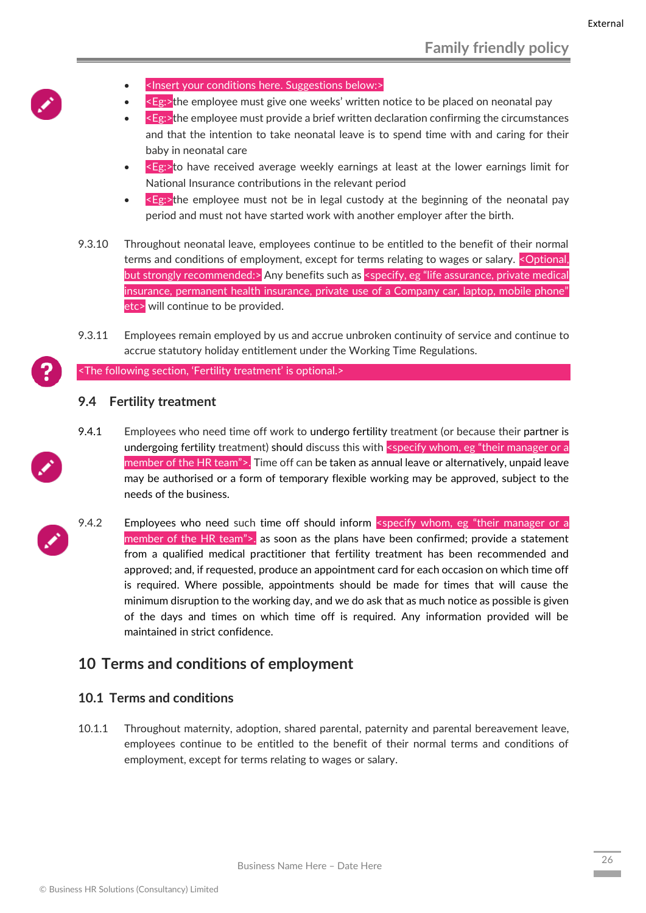- <Insert your conditions here. Suggestions below:>
- <Eg:>the employee must give one weeks' written notice to be placed on neonatal pay
- <Eg:>the employee must provide a brief written declaration confirming the circumstances and that the intention to take neonatal leave is to spend time with and caring for their baby in neonatal care
- $\leq$ Eg: $\geq$ to have received average weekly earnings at least at the lower earnings limit for National Insurance contributions in the relevant period
- $\leq$ Eg: $\geq$ the employee must not be in legal custody at the beginning of the neonatal pay period and must not have started work with another employer after the birth.
- 9.3.10 Throughout neonatal leave, employees continue to be entitled to the benefit of their normal terms and conditions of employment, except for terms relating to wages or salary. < Optional, but strongly recommended:> Any benefits such as <specify, eg "life assurance, private medical insurance, permanent health insurance, private use of a Company car, laptop, mobile phone" etc> will continue to be provided.
- 9.3.11 Employees remain employed by us and accrue unbroken continuity of service and continue to accrue statutory holiday entitlement under the Working Time Regulations.

<The following section, 'Fertility treatment' is optional.>

#### <span id="page-26-0"></span>**9.4 Fertility treatment**

- 9.4.1 Employees who need time off work to undergo fertility treatment (or because their partner is undergoing fertility treatment) should discuss this with <specify whom, eg "their manager or a member of the HR team">. Time off can be taken as annual leave or alternatively, unpaid leave may be authorised or a form of temporary flexible working may be approved, subject to the needs of the business.
- 9.4.2 Employees who need such time off should inform <specify whom, eg "their manager or a member of the HR team">. as soon as the plans have been confirmed; provide a statement from a qualified medical practitioner that fertility treatment has been recommended and approved; and, if requested, produce an appointment card for each occasion on which time off is required. Where possible, appointments should be made for times that will cause the minimum disruption to the working day, and we do ask that as much notice as possible is given of the days and times on which time off is required. Any information provided will be maintained in strict confidence.

## <span id="page-26-1"></span>**10 Terms and conditions of employment**

#### <span id="page-26-2"></span>**10.1 Terms and conditions**

10.1.1 Throughout maternity, adoption, shared parental, paternity and parental bereavement leave, employees continue to be entitled to the benefit of their normal terms and conditions of employment, except for terms relating to wages or salary.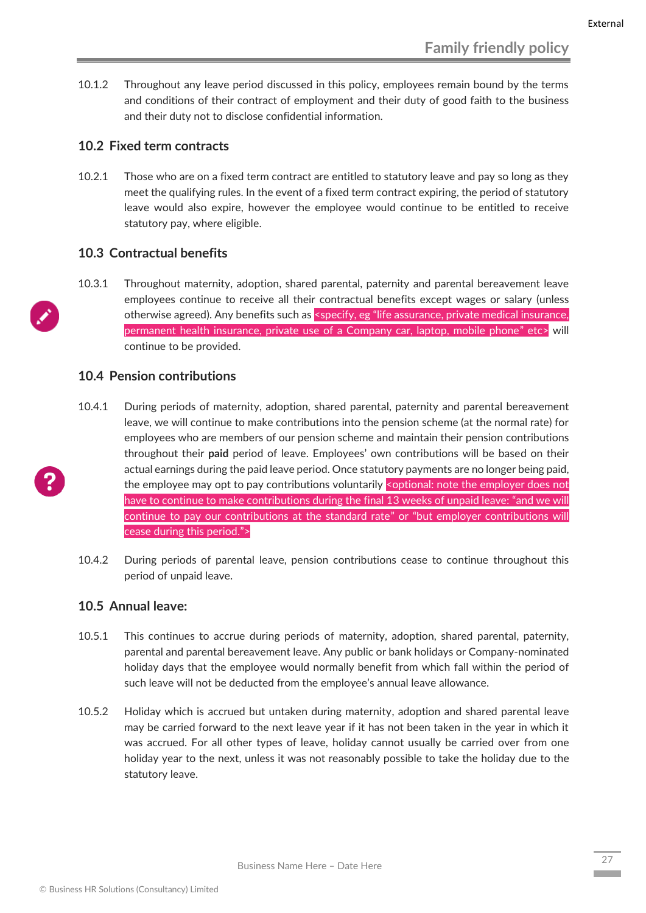10.1.2 Throughout any leave period discussed in this policy, employees remain bound by the terms and conditions of their contract of employment and their duty of good faith to the business and their duty not to disclose confidential information.

#### <span id="page-27-0"></span>**10.2 Fixed term contracts**

10.2.1 Those who are on a fixed term contract are entitled to statutory leave and pay so long as they meet the qualifying rules. In the event of a fixed term contract expiring, the period of statutory leave would also expire, however the employee would continue to be entitled to receive statutory pay, where eligible.

#### <span id="page-27-1"></span>**10.3 Contractual benefits**

10.3.1 Throughout maternity, adoption, shared parental, paternity and parental bereavement leave employees continue to receive all their contractual benefits except wages or salary (unless otherwise agreed). Any benefits such as <specify, eg "life assurance, private medical insurance, permanent health insurance, private use of a Company car, laptop, mobile phone" etc> will continue to be provided.

#### **10.4 Pension contributions**

- <span id="page-27-2"></span>10.4.1 During periods of maternity, adoption, shared parental, paternity and parental bereavement leave, we will continue to make contributions into the pension scheme (at the normal rate) for employees who are members of our pension scheme and maintain their pension contributions throughout their **paid** period of leave. Employees' own contributions will be based on their actual earnings during the paid leave period. Once statutory payments are no longer being paid, the employee may opt to pay contributions voluntarily < optional: note the employer does not have to continue to make contributions during the final 13 weeks of unpaid leave: "and we will continue to pay our contributions at the standard rate" or "but employer contributions will cease during this period.">
- 10.4.2 During periods of parental leave, pension contributions cease to continue throughout this period of unpaid leave.

#### <span id="page-27-3"></span>**10.5 Annual leave:**

- 10.5.1 This continues to accrue during periods of maternity, adoption, shared parental, paternity, parental and parental bereavement leave. Any public or bank holidays or Company-nominated holiday days that the employee would normally benefit from which fall within the period of such leave will not be deducted from the employee's annual leave allowance.
- 10.5.2 Holiday which is accrued but untaken during maternity, adoption and shared parental leave may be carried forward to the next leave year if it has not been taken in the year in which it was accrued. For all other types of leave, holiday cannot usually be carried over from one holiday year to the next, unless it was not reasonably possible to take the holiday due to the statutory leave.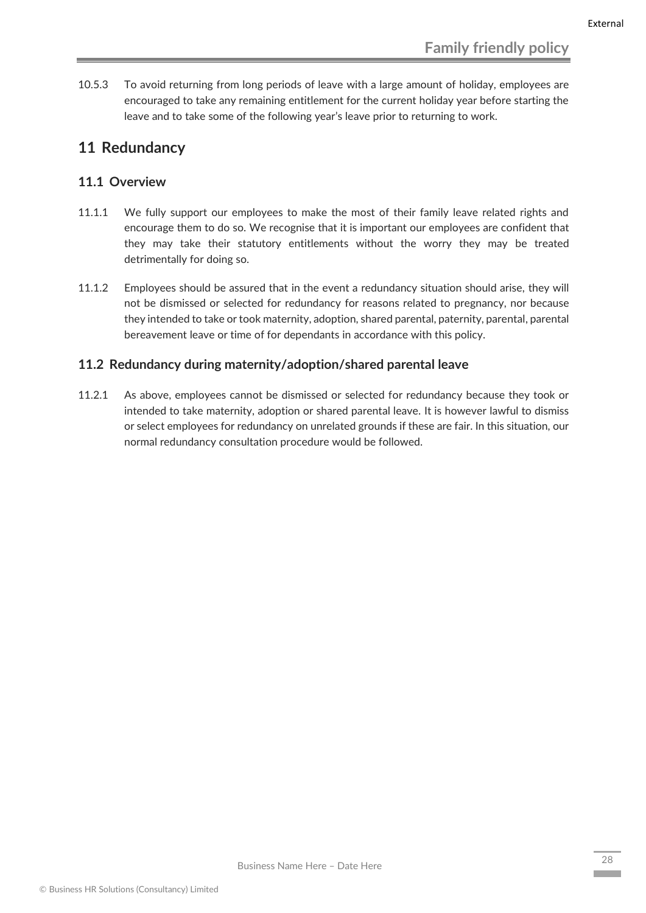10.5.3 To avoid returning from long periods of leave with a large amount of holiday, employees are encouraged to take any remaining entitlement for the current holiday year before starting the leave and to take some of the following year's leave prior to returning to work.

## <span id="page-28-0"></span>**11 Redundancy**

#### <span id="page-28-1"></span>**11.1 Overview**

- 11.1.1 We fully support our employees to make the most of their family leave related rights and encourage them to do so. We recognise that it is important our employees are confident that they may take their statutory entitlements without the worry they may be treated detrimentally for doing so.
- 11.1.2 Employees should be assured that in the event a redundancy situation should arise, they will not be dismissed or selected for redundancy for reasons related to pregnancy, nor because they intended to take or took maternity, adoption, shared parental, paternity, parental, parental bereavement leave or time of for dependants in accordance with this policy.

#### <span id="page-28-2"></span>**11.2 Redundancy during maternity/adoption/shared parental leave**

11.2.1 As above, employees cannot be dismissed or selected for redundancy because they took or intended to take maternity, adoption or shared parental leave. It is however lawful to dismiss or select employees for redundancy on unrelated grounds if these are fair. In this situation, our normal redundancy consultation procedure would be followed.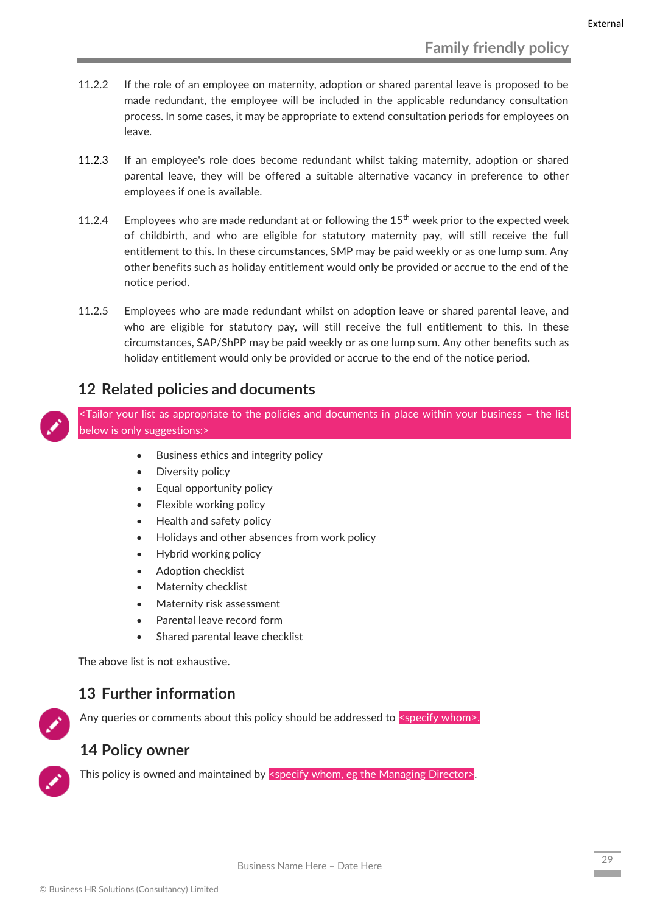- 11.2.2 If the role of an employee on maternity, adoption or shared parental leave is proposed to be made redundant, the employee will be included in the applicable redundancy consultation process. In some cases, it may be appropriate to extend consultation periods for employees on leave.
- 11.2.3 If an employee's role does become redundant whilst taking maternity, adoption or shared parental leave, they will be offered a suitable alternative vacancy in preference to other employees if one is available.
- 11.2.4 Employees who are made redundant at or following the  $15<sup>th</sup>$  week prior to the expected week of childbirth, and who are eligible for statutory maternity pay, will still receive the full entitlement to this. In these circumstances, SMP may be paid weekly or as one lump sum. Any other benefits such as holiday entitlement would only be provided or accrue to the end of the notice period.
- 11.2.5 Employees who are made redundant whilst on adoption leave or shared parental leave, and who are eligible for statutory pay, will still receive the full entitlement to this. In these circumstances, SAP/ShPP may be paid weekly or as one lump sum. Any other benefits such as holiday entitlement would only be provided or accrue to the end of the notice period.

## **12 Related policies and documents**

<span id="page-29-0"></span><Tailor your list as appropriate to the policies and documents in place within your business – the list below is only suggestions:>

- Business ethics and integrity policy
- Diversity policy
- Equal opportunity policy
- Flexible working policy
- Health and safety policy
- Holidays and other absences from work policy
- Hybrid working policy
- Adoption checklist
- Maternity checklist
- Maternity risk assessment
- Parental leave record form
- Shared parental leave checklist

The above list is not exhaustive.

## <span id="page-29-1"></span>**13 Further information**

Any queries or comments about this policy should be addressed to <specify whom>.

## <span id="page-29-2"></span>**14 Policy owner**

This policy is owned and maintained by <specify whom, eg the Managing Director>.